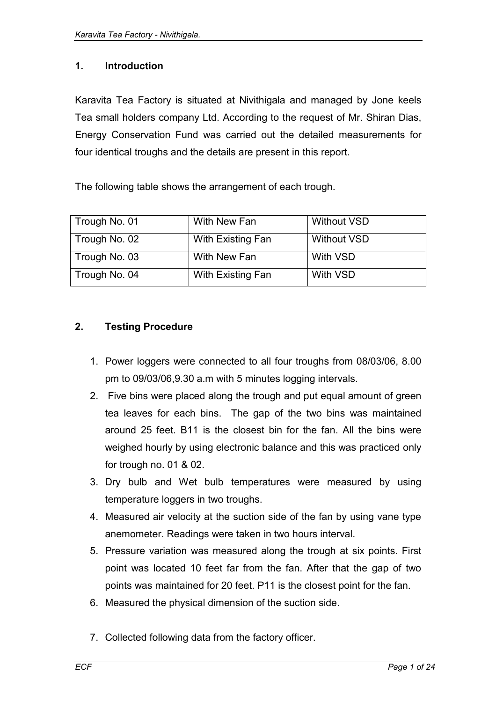## **1. Introduction**

Karavita Tea Factory is situated at Nivithigala and managed by Jone keels Tea small holders company Ltd. According to the request of Mr. Shiran Dias, Energy Conservation Fund was carried out the detailed measurements for four identical troughs and the details are present in this report.

The following table shows the arrangement of each trough.

| Trough No. 01 | With New Fan      | <b>Without VSD</b> |
|---------------|-------------------|--------------------|
| Trough No. 02 | With Existing Fan | <b>Without VSD</b> |
| Trough No. 03 | With New Fan      | With VSD           |
| Trough No. 04 | With Existing Fan | With VSD           |

## **2. Testing Procedure**

- 1. Power loggers were connected to all four troughs from 08/03/06, 8.00 pm to 09/03/06,9.30 a.m with 5 minutes logging intervals.
- 2. Five bins were placed along the trough and put equal amount of green tea leaves for each bins. The gap of the two bins was maintained around 25 feet. B11 is the closest bin for the fan. All the bins were weighed hourly by using electronic balance and this was practiced only for trough no. 01 & 02.
- 3. Dry bulb and Wet bulb temperatures were measured by using temperature loggers in two troughs.
- 4. Measured air velocity at the suction side of the fan by using vane type anemometer. Readings were taken in two hours interval.
- 5. Pressure variation was measured along the trough at six points. First point was located 10 feet far from the fan. After that the gap of two points was maintained for 20 feet. P11 is the closest point for the fan.
- 6. Measured the physical dimension of the suction side.
- 7. Collected following data from the factory officer.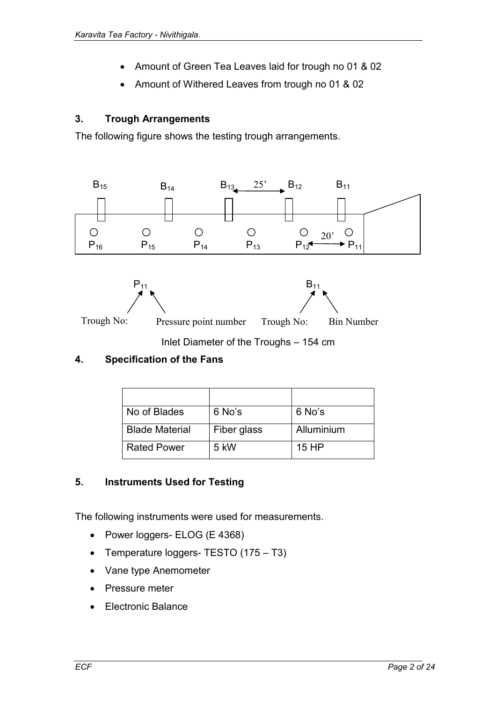- Amount of Green Tea Leaves laid for trough no 01 & 02
- Amount of Withered Leaves from trough no 01 & 02

## **3. Trough Arrangements**

The following figure shows the testing trough arrangements.



# **4. Specification of the Fans**

| No of Blades          | 6 No's      | 6 No's     |
|-----------------------|-------------|------------|
| <b>Blade Material</b> | Fiber glass | Alluminium |
| <b>Rated Power</b>    | 5 kW        | 15 HP      |

#### **5. Instruments Used for Testing**

The following instruments were used for measurements.

- Power loggers- ELOG (E 4368)
- Temperature loggers- TESTO (175 T3)
- Vane type Anemometer
- Pressure meter
- Electronic Balance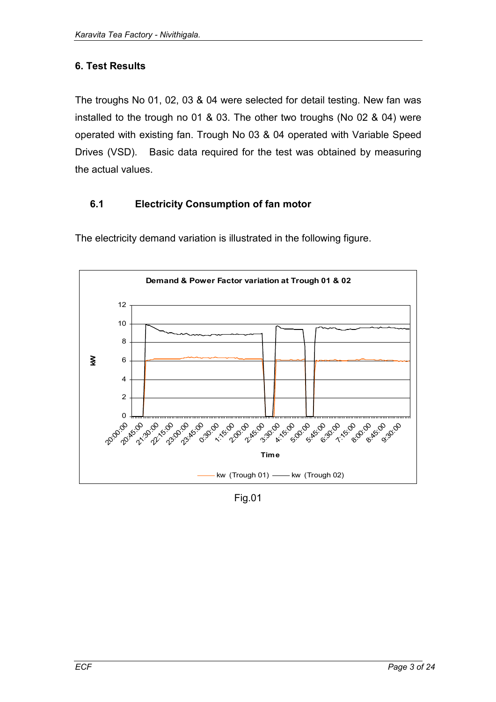# **6. Test Results**

The troughs No 01, 02, 03 & 04 were selected for detail testing. New fan was installed to the trough no 01 & 03. The other two troughs (No 02 & 04) were operated with existing fan. Trough No 03 & 04 operated with Variable Speed Drives (VSD). Basic data required for the test was obtained by measuring the actual values.

# **6.1 Electricity Consumption of fan motor**



The electricity demand variation is illustrated in the following figure.

Fig.01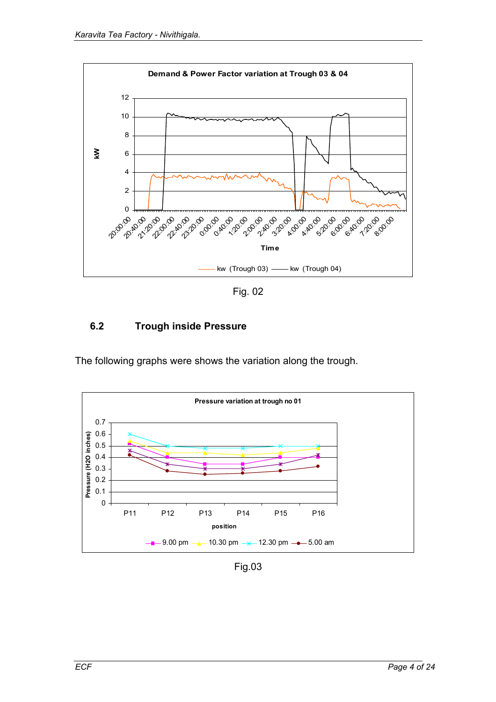![](_page_3_Figure_1.jpeg)

Fig. 02

# **6.2 Trough inside Pressure**

The following graphs were shows the variation along the trough.

![](_page_3_Figure_5.jpeg)

Fig.03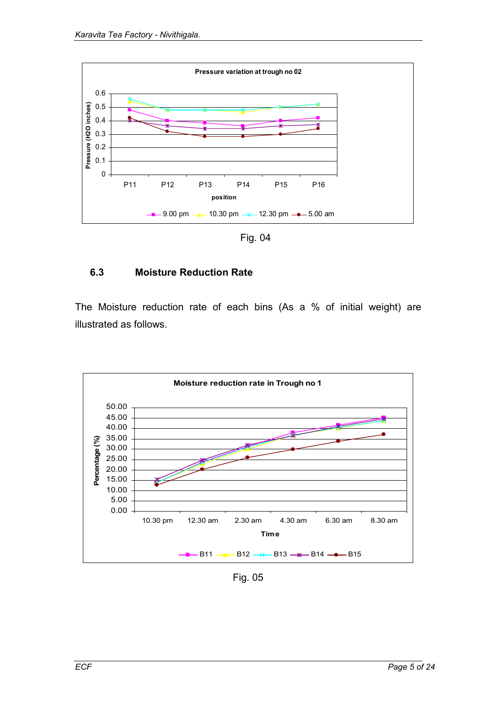![](_page_4_Figure_1.jpeg)

Fig. 04

#### **6.3 Moisture Reduction Rate**

The Moisture reduction rate of each bins (As a % of initial weight) are illustrated as follows.

![](_page_4_Figure_5.jpeg)

Fig. 05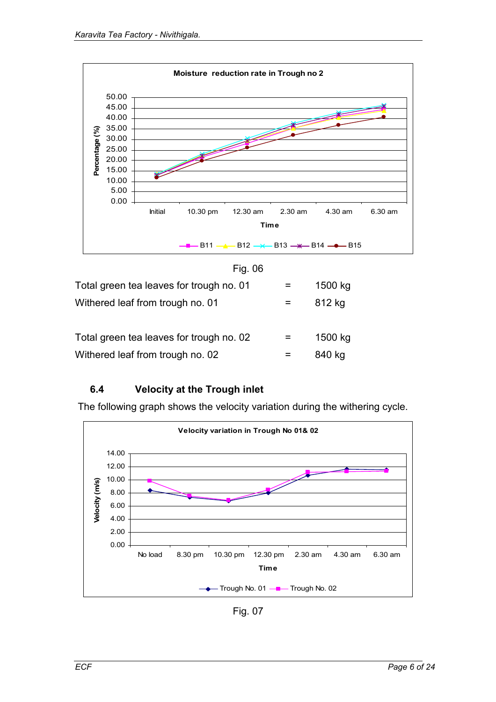![](_page_5_Figure_1.jpeg)

| Total green tea leaves for trough no. 02 |              | 1500 kg |
|------------------------------------------|--------------|---------|
| Withered leaf from trough no. 02         | $\mathbf{r}$ | 840 kg  |

# **6.4 Velocity at the Trough inlet**

The following graph shows the velocity variation during the withering cycle.

![](_page_5_Figure_5.jpeg)

Fig. 07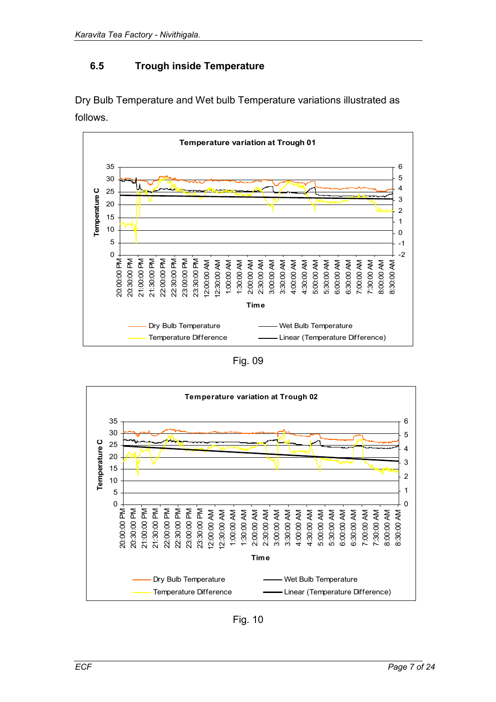## **6.5 Trough inside Temperature**

Dry Bulb Temperature and Wet bulb Temperature variations illustrated as follows.

![](_page_6_Figure_3.jpeg)

Fig. 09

![](_page_6_Figure_5.jpeg)

Fig. 10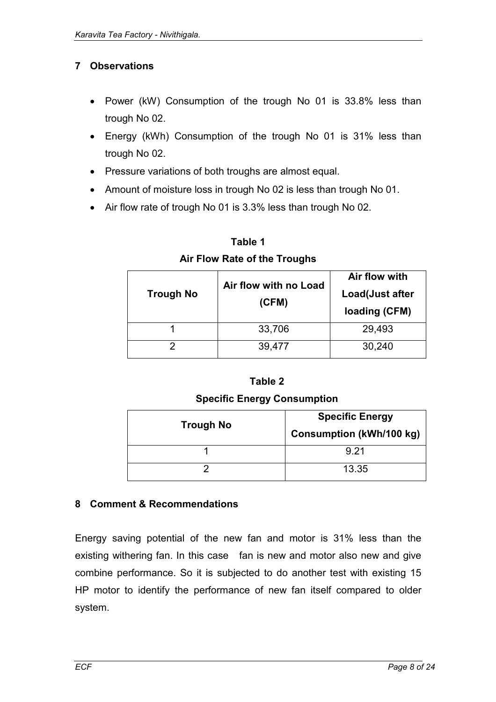## **7 Observations**

- Power (kW) Consumption of the trough No 01 is 33.8% less than trough No 02.
- Energy (kWh) Consumption of the trough No 01 is 31% less than trough No 02.
- Pressure variations of both troughs are almost equal.
- Amount of moisture loss in trough No 02 is less than trough No 01.
- Air flow rate of trough No 01 is 3.3% less than trough No 02.

|                  | Air flow with no Load | Air flow with                    |  |  |  |
|------------------|-----------------------|----------------------------------|--|--|--|
| <b>Trough No</b> | (CFM)                 | Load(Just after<br>loading (CFM) |  |  |  |
|                  | 33,706                | 29,493                           |  |  |  |
|                  | 39,477                | 30,240                           |  |  |  |

**Table 1 Air Flow Rate of the Troughs** 

#### **Table 2**

#### **Specific Energy Consumption**

| <b>Trough No</b> | <b>Specific Energy</b><br><b>Consumption (kWh/100 kg)</b> |
|------------------|-----------------------------------------------------------|
|                  | 9 21                                                      |
|                  | 13.35                                                     |

#### **8 Comment & Recommendations**

Energy saving potential of the new fan and motor is 31% less than the existing withering fan. In this case fan is new and motor also new and give combine performance. So it is subjected to do another test with existing 15 HP motor to identify the performance of new fan itself compared to older system.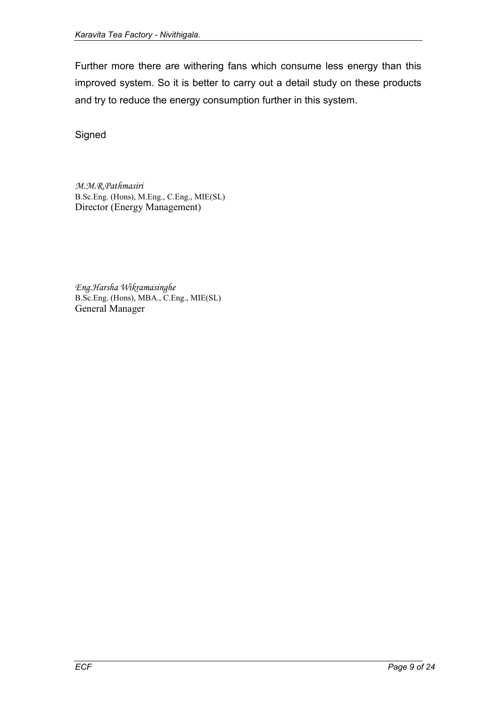Further more there are withering fans which consume less energy than this improved system. So it is better to carry out a detail study on these products and try to reduce the energy consumption further in this system.

Signed

*M.M.R.Pathmasiri*  B.Sc.Eng. (Hons), M.Eng., C.Eng., MIE(SL) Director (Energy Management)

*Eng.Harsha Wikramasinghe*  B.Sc.Eng. (Hons), MBA., C.Eng., MIE(SL) General Manager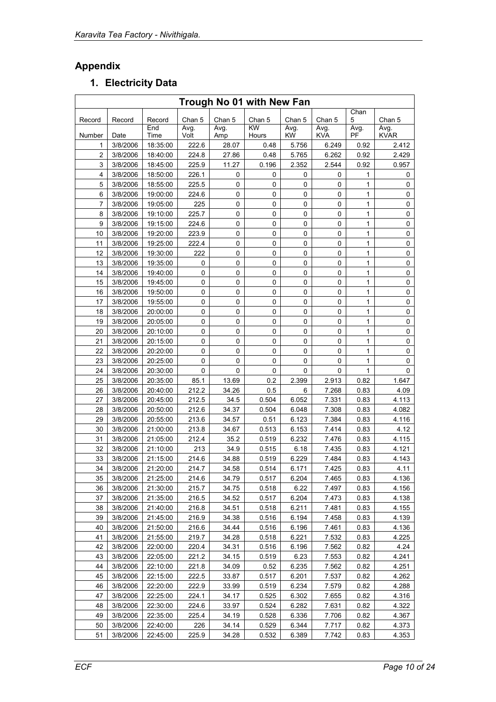# **Appendix**

# **1. Electricity Data**

| Trough No 01 with New Fan |          |             |              |             |             |                   |                    |            |                     |  |
|---------------------------|----------|-------------|--------------|-------------|-------------|-------------------|--------------------|------------|---------------------|--|
| Record                    | Record   | Record      | Chan 5       | Chan 5      | Chan 5      | Chan 5            | Chan 5             | Chan<br>5  | Chan 5              |  |
| Number                    | Date     | End<br>Time | Avg.<br>Volt | Avg.<br>Amp | KW<br>Hours | Avg.<br><b>KW</b> | Avg.<br><b>KVA</b> | Avg.<br>PF | Avg.<br><b>KVAR</b> |  |
| 1                         | 3/8/2006 | 18:35:00    | 222.6        | 28.07       | 0.48        | 5.756             | 6.249              | 0.92       | 2.412               |  |
| $\overline{c}$            | 3/8/2006 | 18:40:00    | 224.8        | 27.86       | 0.48        | 5.765             | 6.262              | 0.92       | 2.429               |  |
| 3                         | 3/8/2006 | 18:45:00    | 225.9        | 11.27       | 0.196       | 2.352             | 2.544              | 0.92       | 0.957               |  |
| 4                         | 3/8/2006 | 18:50:00    | 226.1        | 0           | 0           | 0                 | 0                  | 1          | 0                   |  |
| 5                         | 3/8/2006 | 18:55:00    | 225.5        | 0           | 0           | 0                 | 0                  | 1          | 0                   |  |
| 6                         | 3/8/2006 | 19:00:00    | 224.6        | 0           | 0           | 0                 | 0                  | 1          | 0                   |  |
| $\overline{7}$            | 3/8/2006 | 19:05:00    | 225          | 0           | 0           | 0                 | $\mathbf 0$        | 1          | 0                   |  |
| 8                         | 3/8/2006 | 19:10:00    | 225.7        | $\pmb{0}$   | 0           | 0                 | $\pmb{0}$          | 1          | 0                   |  |
| 9                         | 3/8/2006 | 19:15:00    | 224.6        | 0           | 0           | 0                 | $\mathbf 0$        | 1          | 0                   |  |
| 10                        | 3/8/2006 | 19:20:00    | 223.9        | 0           | 0           | 0                 | 0                  | 1          | 0                   |  |
| 11                        | 3/8/2006 | 19:25:00    | 222.4        | 0           | 0           | 0                 | 0                  | 1          | 0                   |  |
| 12                        | 3/8/2006 | 19:30:00    | 222          | 0           | 0           | 0                 | 0                  | 1          | 0                   |  |
| 13                        | 3/8/2006 | 19:35:00    | 0            | 0           | 0           | 0                 | 0                  | 1          | 0                   |  |
| 14                        | 3/8/2006 | 19:40:00    | 0            | 0           | 0           | 0                 | 0                  | 1          | 0                   |  |
| 15                        | 3/8/2006 | 19:45:00    | 0            | 0           | 0           | 0                 | 0                  | 1          | 0                   |  |
| 16                        | 3/8/2006 | 19:50:00    | 0            | 0           | 0           | 0                 | 0                  | 1          | 0                   |  |
| 17                        | 3/8/2006 | 19:55:00    | 0            | 0           | 0           | 0                 | 0                  | 1          | 0                   |  |
| 18                        | 3/8/2006 | 20:00:00    | 0            | 0           | 0           | 0                 | 0                  | 1          | 0                   |  |
| 19                        | 3/8/2006 | 20:05:00    | 0            | 0           | 0           | 0                 | $\pmb{0}$          | 1          | 0                   |  |
| 20                        | 3/8/2006 | 20:10:00    | 0            | 0           | 0           | 0                 | $\pmb{0}$          | 1          | 0                   |  |
| 21                        | 3/8/2006 | 20:15:00    | 0            | 0           | 0           | 0                 | $\mathbf 0$        | 1          | 0                   |  |
| 22                        | 3/8/2006 | 20:20:00    | 0            | 0           | 0           | 0                 | $\mathbf 0$        | 1          | 0                   |  |
| 23                        | 3/8/2006 | 20:25:00    | 0            | 0           | 0           | 0                 | 0                  | 1          | 0                   |  |
| 24                        | 3/8/2006 | 20:30:00    | 0            | 0           | 0           | 0                 | 0                  | 1          | 0                   |  |
| 25                        | 3/8/2006 | 20:35:00    | 85.1         | 13.69       | 0.2         | 2.399             | 2.913              | 0.82       | 1.647               |  |
| 26                        | 3/8/2006 | 20:40:00    | 212.2        | 34.26       | 0.5         | 6                 | 7.268              | 0.83       | 4.09                |  |
| 27                        | 3/8/2006 | 20:45:00    | 212.5        | 34.5        | 0.504       | 6.052             | 7.331              | 0.83       | 4.113               |  |
| 28                        | 3/8/2006 | 20:50:00    | 212.6        | 34.37       | 0.504       | 6.048             | 7.308              | 0.83       | 4.082               |  |
| 29                        | 3/8/2006 | 20:55:00    | 213.6        | 34.57       | 0.51        | 6.123             | 7.384              | 0.83       | 4.116               |  |
| 30                        | 3/8/2006 | 21:00:00    | 213.8        | 34.67       | 0.513       | 6.153             | 7.414              | 0.83       | 4.12                |  |
| 31                        | 3/8/2006 | 21:05:00    | 212.4        | 35.2        | 0.519       | 6.232             | 7.476              | 0.83       | 4.115               |  |
| 32                        | 3/8/2006 | 21:10:00    | 213          | 34.9        | 0.515       | 6.18              | 7.435              | 0.83       | 4.121               |  |
| 33                        | 3/8/2006 | 21:15:00    | 214.6        | 34.88       | 0.519       | 6.229             | 7.484              | 0.83       | 4.143               |  |
| 34                        | 3/8/2006 | 21:20:00    | 214.7        | 34.58       | 0.514       | 6.171             | 7.425              | 0.83       | 4.11                |  |
| 35                        | 3/8/2006 | 21:25:00    | 214.6        | 34.79       | 0.517       | 6.204             | 7.465              | 0.83       | 4.136               |  |
| 36                        | 3/8/2006 | 21:30:00    | 215.7        | 34.75       | 0.518       | 6.22              | 7.497              | 0.83       | 4.156               |  |
| 37                        | 3/8/2006 | 21:35:00    | 216.5        | 34.52       | 0.517       | 6.204             | 7.473              | 0.83       | 4.138               |  |
| 38                        | 3/8/2006 | 21:40:00    | 216.8        | 34.51       | 0.518       | 6.211             | 7.481              | 0.83       | 4.155               |  |
| 39                        | 3/8/2006 | 21:45:00    | 216.9        | 34.38       | 0.516       | 6.194             | 7.458              | 0.83       | 4.139               |  |
| 40                        | 3/8/2006 | 21:50:00    | 216.6        | 34.44       | 0.516       | 6.196             | 7.461              | 0.83       | 4.136               |  |
| 41                        | 3/8/2006 | 21:55:00    | 219.7        | 34.28       | 0.518       | 6.221             | 7.532              | 0.83       | 4.225               |  |
| 42                        | 3/8/2006 | 22:00:00    | 220.4        | 34.31       | 0.516       | 6.196             | 7.562              | 0.82       | 4.24                |  |
| 43                        | 3/8/2006 | 22:05:00    | 221.2        | 34.15       | 0.519       | 6.23              | 7.553              | 0.82       | 4.241               |  |
| 44                        | 3/8/2006 | 22:10:00    | 221.8        | 34.09       | 0.52        | 6.235             | 7.562              | 0.82       | 4.251               |  |
| 45                        | 3/8/2006 | 22:15:00    | 222.5        | 33.87       | 0.517       | 6.201             | 7.537              | 0.82       | 4.262               |  |
| 46                        | 3/8/2006 | 22:20:00    | 222.9        | 33.99       | 0.519       | 6.234             | 7.579              | 0.82       | 4.288               |  |
| 47                        | 3/8/2006 | 22:25:00    | 224.1        | 34.17       | 0.525       | 6.302             | 7.655              | 0.82       | 4.316               |  |
| 48                        | 3/8/2006 | 22:30:00    | 224.6        | 33.97       | 0.524       | 6.282             | 7.631              | 0.82       | 4.322               |  |
| 49                        | 3/8/2006 | 22:35:00    | 225.4        | 34.19       | 0.528       | 6.336             | 7.706              | 0.82       | 4.367               |  |
| 50                        | 3/8/2006 | 22:40:00    | 226          | 34.14       | 0.529       | 6.344             | 7.717              | 0.82       | 4.373               |  |
| 51                        | 3/8/2006 | 22:45:00    | 225.9        | 34.28       | 0.532       | 6.389             | 7.742              | 0.83       | 4.353               |  |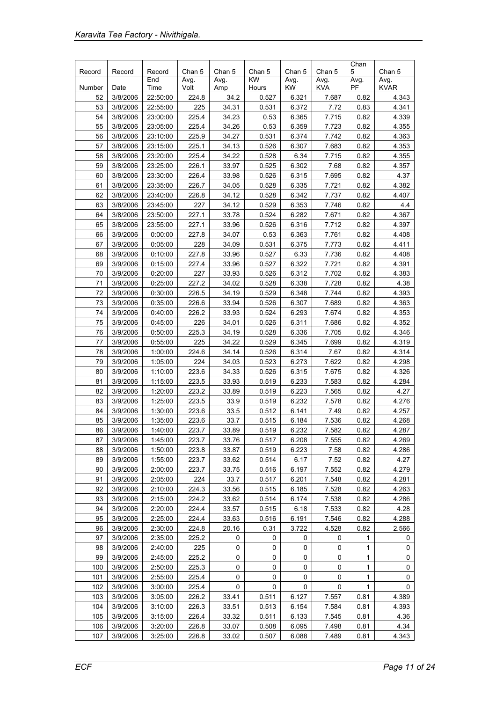| Record   | Record               | Record             | Chan 5         | Chan 5     | Chan 5    | Chan 5     | Chan 5     | Chan<br>5    | Chan 5      |
|----------|----------------------|--------------------|----------------|------------|-----------|------------|------------|--------------|-------------|
|          |                      | End                | Avg.           | Avg.       | KW        | Avg.       | Avg.       | Avg.         | Avg.        |
| Number   | Date                 | Time               | Volt           | Amp        | Hours     | <b>KW</b>  | <b>KVA</b> | PF           | <b>KVAR</b> |
| 52       | 3/8/2006             | 22:50:00           | 224.8          | 34.2       | 0.527     | 6.321      | 7.687      | 0.82         | 4.343       |
| 53       | 3/8/2006             | 22:55:00           | 225            | 34.31      | 0.531     | 6.372      | 7.72       | 0.83         | 4.341       |
| 54       | 3/8/2006             | 23:00:00           | 225.4          | 34.23      | 0.53      | 6.365      | 7.715      | 0.82         | 4.339       |
| 55       | 3/8/2006             | 23:05:00           | 225.4          | 34.26      | 0.53      | 6.359      | 7.723      | 0.82         | 4.355       |
| 56       | 3/8/2006             | 23:10:00           | 225.9          | 34.27      | 0.531     | 6.374      | 7.742      | 0.82         | 4.363       |
| 57       | 3/8/2006             | 23:15:00           | 225.1          | 34.13      | 0.526     | 6.307      | 7.683      | 0.82         | 4.353       |
| 58       | 3/8/2006             | 23:20:00           | 225.4          | 34.22      | 0.528     | 6.34       | 7.715      | 0.82         | 4.355       |
| 59       | 3/8/2006             | 23:25:00           | 226.1          | 33.97      | 0.525     | 6.302      | 7.68       | 0.82         | 4.357       |
| 60       | 3/8/2006             | 23:30:00           | 226.4          | 33.98      | 0.526     | 6.315      | 7.695      | 0.82         | 4.37        |
| 61       | 3/8/2006             | 23:35:00           | 226.7          | 34.05      | 0.528     | 6.335      | 7.721      | 0.82         | 4.382       |
| 62       | 3/8/2006             | 23:40:00           | 226.8          | 34.12      | 0.528     | 6.342      | 7.737      | 0.82         | 4.407       |
| 63       | 3/8/2006             | 23:45:00           | 227            | 34.12      | 0.529     | 6.353      | 7.746      | 0.82         | 4.4         |
| 64       | 3/8/2006             | 23:50:00           | 227.1          | 33.78      | 0.524     | 6.282      | 7.671      | 0.82         | 4.367       |
| 65       | 3/8/2006             | 23:55:00           | 227.1          | 33.96      | 0.526     | 6.316      | 7.712      | 0.82         | 4.397       |
| 66       | 3/9/2006             | 0:00:00            | 227.8          | 34.07      | 0.53      | 6.363      | 7.761      | 0.82         | 4.408       |
| 67       | 3/9/2006             | 0:05:00            | 228            | 34.09      | 0.531     | 6.375      | 7.773      | 0.82         | 4.411       |
| 68       | 3/9/2006             | 0:10:00            | 227.8          | 33.96      | 0.527     | 6.33       | 7.736      | 0.82         | 4.408       |
| 69       | 3/9/2006             | 0:15:00            | 227.4          | 33.96      | 0.527     | 6.322      | 7.721      | 0.82         | 4.391       |
| 70       | 3/9/2006             | 0:20:00            | 227            | 33.93      | 0.526     | 6.312      | 7.702      | 0.82         | 4.383       |
| 71       | 3/9/2006             | 0:25:00            | 227.2          | 34.02      | 0.528     | 6.338      | 7.728      | 0.82         | 4.38        |
| 72       | 3/9/2006             | 0:30:00            | 226.5          | 34.19      | 0.529     | 6.348      | 7.744      | 0.82         | 4.393       |
| 73       | 3/9/2006             | 0:35:00            | 226.6          | 33.94      | 0.526     | 6.307      | 7.689      | 0.82         | 4.363       |
| 74       | 3/9/2006             | 0:40:00            | 226.2          | 33.93      | 0.524     | 6.293      | 7.674      | 0.82         | 4.353       |
| 75       | 3/9/2006             | 0:45:00            | 226            | 34.01      | 0.526     | 6.311      | 7.686      | 0.82         | 4.352       |
| 76       | 3/9/2006             | 0:50:00            | 225.3          | 34.19      | 0.528     | 6.336      | 7.705      | 0.82         | 4.346       |
| 77       | 3/9/2006             | 0:55:00            | 225            | 34.22      | 0.529     | 6.345      | 7.699      | 0.82         | 4.319       |
| 78       | 3/9/2006             | 1:00:00            | 224.6          | 34.14      | 0.526     | 6.314      | 7.67       | 0.82         | 4.314       |
| 79       | 3/9/2006             | 1:05:00            | 224            | 34.03      | 0.523     | 6.273      | 7.622      | 0.82         | 4.298       |
| 80       | 3/9/2006             | 1:10:00            | 223.6          | 34.33      | 0.526     | 6.315      | 7.675      | 0.82         | 4.326       |
| 81       | 3/9/2006             | 1:15:00            | 223.5          | 33.93      | 0.519     | 6.233      | 7.583      | 0.82         | 4.284       |
| 82       | 3/9/2006             | 1:20:00            | 223.2          | 33.89      | 0.519     | 6.223      | 7.565      | 0.82         | 4.27        |
| 83       | 3/9/2006             | 1:25:00            | 223.5          | 33.9       | 0.519     | 6.232      | 7.578      | 0.82         | 4.276       |
| 84       | 3/9/2006             | 1:30:00            | 223.6          | 33.5       | 0.512     | 6.141      | 7.49       | 0.82         | 4.257       |
| 85       | 3/9/2006             | 1:35:00            | 223.6          | 33.7       | 0.515     | 6.184      | 7.536      | 0.82         | 4.268       |
| 86       | 3/9/2006             | 1:40:00            | 223.7          | 33.89      | 0.519     | 6 232      | 7.582      | 0.82         | 4.287       |
| 87       | 3/9/2006             | 1:45:00            | 223.7          | 33.76      | 0.517     | 6.208      | 7.555      | 0.82         | 4.269       |
| 88       | 3/9/2006             | 1:50:00            | 223.8          | 33.87      | 0.519     | 6.223      | 7.58       | 0.82         | 4.286       |
| 89       | 3/9/2006             | 1:55:00            | 223.7          | 33.62      | 0.514     | 6.17       | 7.52       | 0.82         | 4.27        |
| 90       | 3/9/2006             | 2:00:00            | 223.7          | 33.75      | 0.516     | 6.197      | 7.552      | 0.82         | 4.279       |
| 91       | 3/9/2006             | 2:05:00            | 224            | 33.7       | 0.517     | 6.201      | 7.548      | 0.82         | 4.281       |
| 92       | 3/9/2006             | 2:10:00            | 224.3          | 33.56      | 0.515     | 6.185      | 7.528      | 0.82         | 4.263       |
| 93       | 3/9/2006             | 2:15:00            | 224.2          | 33.62      | 0.514     | 6.174      | 7.538      | 0.82         | 4.286       |
| 94       | 3/9/2006             | 2:20:00            | 224.4          | 33.57      | 0.515     | 6.18       | 7.533      | 0.82         | 4.28        |
| 95       | 3/9/2006             | 2:25:00            | 224.4          | 33.63      | 0.516     | 6.191      | 7.546      | 0.82         | 4.288       |
| 96<br>97 | 3/9/2006<br>3/9/2006 | 2:30:00<br>2:35:00 | 224.8<br>225.2 | 20.16<br>0 | 0.31<br>0 | 3.722<br>0 | 4.528<br>0 | 0.82<br>1    | 2.566<br>0  |
|          |                      |                    |                |            |           |            |            |              |             |
| 98<br>99 | 3/9/2006<br>3/9/2006 | 2:40:00<br>2:45:00 | 225<br>225.2   | 0<br>0     | 0<br>0    | 0<br>0     | 0<br>0     | 1<br>1       | 0<br>0      |
| 100      | 3/9/2006             | 2:50:00            | 225.3          | 0          | 0         | 0          | 0          | 1            | 0           |
| 101      | 3/9/2006             | 2:55:00            | 225.4          | 0          | 0         | 0          | 0          | 1            | 0           |
| 102      | 3/9/2006             | 3:00:00            | 225.4          | 0          | 0         | 0          | 0          | $\mathbf{1}$ | 0           |
| 103      | 3/9/2006             | 3:05:00            | 226.2          | 33.41      | 0.511     | 6.127      | 7.557      | 0.81         | 4.389       |
| 104      | 3/9/2006             | 3:10:00            | 226.3          | 33.51      | 0.513     | 6.154      | 7.584      | 0.81         | 4.393       |
| 105      | 3/9/2006             | 3:15:00            | 226.4          | 33.32      | 0.511     | 6.133      | 7.545      | 0.81         | 4.36        |
| 106      | 3/9/2006             | 3:20:00            | 226.8          | 33.07      | 0.508     | 6.095      | 7.498      | 0.81         | 4.34        |
| 107      | 3/9/2006             | 3:25:00            | 226.8          | 33.02      | 0.507     | 6.088      | 7.489      | 0.81         | 4.343       |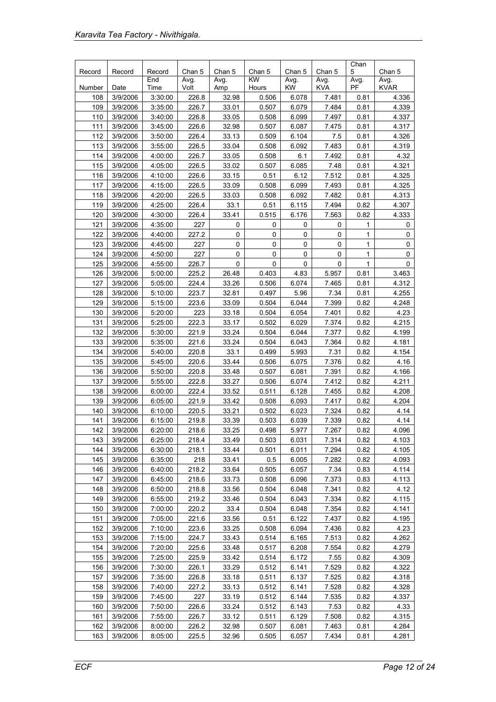|            |                      |                    |                |                |                |                |                | Chan         |                |
|------------|----------------------|--------------------|----------------|----------------|----------------|----------------|----------------|--------------|----------------|
| Record     | Record               | Record<br>End      | Chan 5<br>Avg. | Chan 5<br>Avg. | Chan 5<br>KW   | Chan 5<br>Avg. | Chan 5<br>Avg. | 5<br>Avg.    | Chan 5<br>Avg. |
| Number     | Date                 | Time               | Volt           | Amp            | Hours          | <b>KW</b>      | <b>KVA</b>     | PF           | <b>KVAR</b>    |
| 108        | 3/9/2006             | 3:30:00            | 226.8          | 32.98          | 0.506          | 6.078          | 7.481          | 0.81         | 4.336          |
| 109        | 3/9/2006             | 3:35:00            | 226.7          | 33.01          | 0.507          | 6.079          | 7.484          | 0.81         | 4.339          |
| 110        | 3/9/2006             | 3:40:00            | 226.8          | 33.05          | 0.508          | 6.099          | 7.497          | 0.81         | 4.337          |
| 111        | 3/9/2006             | 3:45:00            | 226.6          | 32.98          | 0.507          | 6.087          | 7.475          | 0.81         | 4.317          |
| 112        | 3/9/2006             | 3:50:00            | 226.4          | 33.13          | 0.509          | 6.104          | 7.5            | 0.81         | 4.326          |
| 113        | 3/9/2006             | 3:55:00            | 226.5          | 33.04          | 0.508          | 6.092          | 7.483          | 0.81         | 4.319          |
| 114        | 3/9/2006             | 4:00:00            | 226.7          | 33.05          | 0.508          | 6.1            | 7.492          | 0.81         | 4.32           |
| 115        | 3/9/2006             | 4:05:00            | 226.5          | 33.02          | 0.507          | 6.085          | 7.48           | 0.81         | 4.321          |
| 116        | 3/9/2006             | 4:10:00            | 226.6          | 33.15          | 0.51           | 6.12           | 7.512          | 0.81         | 4.325          |
| 117        | 3/9/2006             | 4:15:00            | 226.5          | 33.09          | 0.508          | 6.099          | 7.493          | 0.81         | 4.325          |
| 118        | 3/9/2006             | 4:20:00            | 226.5          | 33.03          | 0.508          | 6.092          | 7.482          | 0.81         | 4.313          |
| 119        | 3/9/2006             | 4:25:00            | 226.4          | 33.1           | 0.51           | 6.115          | 7.494          | 0.82         | 4.307          |
| 120        | 3/9/2006             | 4:30:00            | 226.4          | 33.41          | 0.515          | 6.176          | 7.563          | 0.82         | 4.333          |
| 121        | 3/9/2006             | 4:35:00            | 227            | 0              | 0              | 0              | 0              | 1            | 0              |
| 122        | 3/9/2006             | 4:40:00            | 227.2          | 0              | 0              | 0              | 0              | 1            | 0              |
| 123        | 3/9/2006             | 4:45:00            | 227            | $\pmb{0}$      | 0              | $\pmb{0}$      | $\pmb{0}$      | $\mathbf{1}$ | 0              |
| 124        | 3/9/2006             | 4:50:00            | 227            | $\mathbf 0$    | 0              | 0              | $\pmb{0}$      | 1            | 0              |
| 125        | 3/9/2006             | 4:55:00            | 226.7          | 0              | 0              | 0              | $\pmb{0}$      | 1            | 0              |
| 126        | 3/9/2006             | 5:00:00            | 225.2          | 26.48          | 0.403          | 4.83           | 5.957          | 0.81         | 3.463          |
| 127        | 3/9/2006             | 5:05:00            | 224.4          | 33.26          | 0.506          | 6.074          | 7.465          | 0.81         | 4.312          |
| 128        | 3/9/2006             | 5:10:00            | 223.7          | 32.81          | 0.497          | 5.96           | 7.34           | 0.81         | 4.255          |
| 129        | 3/9/2006             | 5:15:00            | 223.6          | 33.09          | 0.504          | 6.044          | 7.399          | 0.82         | 4.248          |
| 130        | 3/9/2006             | 5:20:00            | 223            | 33.18          | 0.504          | 6.054          | 7.401          | 0.82         | 4.23           |
| 131        | 3/9/2006             | 5:25:00            | 222.3          | 33.17          | 0.502          | 6.029          | 7.374          | 0.82         | 4.215          |
| 132        | 3/9/2006             | 5:30:00            | 221.9          | 33.24          | 0.504          | 6.044          | 7.377          | 0.82         | 4.199          |
| 133        | 3/9/2006             | 5:35:00            | 221.6          | 33.24          | 0.504          | 6.043          | 7.364          | 0.82         | 4.181          |
| 134        | 3/9/2006             | 5:40:00            | 220.8          | 33.1           | 0.499          | 5.993          | 7.31           | 0.82         | 4.154          |
| 135        | 3/9/2006             | 5:45:00            | 220.6          | 33.44          | 0.506          | 6.075          | 7.376          | 0.82         | 4.16           |
| 136        | 3/9/2006             | 5:50:00            | 220.8          | 33.48          | 0.507          | 6.081          | 7.391          | 0.82         | 4.166          |
| 137        | 3/9/2006             | 5:55:00            | 222.8          | 33.27          | 0.506          | 6.074          | 7.412          | 0.82         | 4.211          |
| 138        | 3/9/2006             | 6:00:00            | 222.4          | 33.52          | 0.511          | 6.128          | 7.455          | 0.82         | 4.208          |
| 139        | 3/9/2006             | 6:05:00            | 221.9          | 33.42          | 0.508          | 6.093          | 7.417          | 0.82         | 4.204          |
| 140        | 3/9/2006             | 6:10:00            | 220.5          | 33.21          | 0.502          | 6.023          | 7.324          | 0.82         | 4.14           |
| 141        | 3/9/2006             | 6:15:00            | 219.8          | 33.39          | 0.503          | 6.039          | 7.339          | 0.82         | 4.14           |
| 142        | 3/9/2006             | 6:20:00            | 218.6          | 33.25          | 0.498          | 5.977          | 7.267          | 0.82         | 4.096          |
| 143        | 3/9/2006             | 6:25:00            | 218.4          | 33.49          | 0.503          | 6.031          | 7.314          | 0.82         | 4.103          |
| 144        | 3/9/2006             | 6:30:00            | 218.1          | 33.44          | 0.501          | 6.011          | 7.294          | 0.82         | 4.105          |
| 145        | 3/9/2006             | 6:35:00            | 218            | 33.41          | 0.5            | 6.005          | 7.282          | 0.82         | 4.093          |
| 146        | 3/9/2006             | 6:40:00            | 218.2          | 33.64          | 0.505          | 6.057          | 7.34           | 0.83         | 4.114          |
| 147        | 3/9/2006             | 6:45:00            | 218.6          | 33.73          | 0.508          | 6.096          | 7.373          | 0.83         | 4.113          |
| 148        | 3/9/2006             | 6:50:00            | 218.8          | 33.56          | 0.504          | 6.048          | 7.341          | 0.82         | 4.12           |
| 149        | 3/9/2006             | 6:55:00            | 219.2          | 33.46          | 0.504          | 6.043          | 7.334          | 0.82         | 4.115          |
| 150        | 3/9/2006             | 7:00:00            | 220.2          | 33.4           | 0.504          | 6.048          | 7.354          | 0.82         | 4.141          |
| 151        | 3/9/2006             | 7:05:00            | 221.6          | 33.56          | 0.51           | 6.122          | 7.437          | 0.82         | 4.195          |
| 152        |                      |                    | 223.6          | 33.25          |                |                |                | 0.82         | 4.23           |
| 153        | 3/9/2006<br>3/9/2006 | 7:10:00            | 224.7          | 33.43          | 0.508<br>0.514 | 6.094          | 7.436<br>7.513 | 0.82         | 4.262          |
|            |                      | 7:15:00            |                |                |                | 6.165          |                |              |                |
| 154<br>155 | 3/9/2006<br>3/9/2006 | 7:20:00<br>7:25:00 | 225.6<br>225.9 | 33.48<br>33.42 | 0.517<br>0.514 | 6.208<br>6.172 | 7.554<br>7.55  | 0.82<br>0.82 | 4.279<br>4.309 |
|            |                      |                    |                |                |                |                |                |              |                |
| 156        | 3/9/2006             | 7:30:00            | 226.1          | 33.29          | 0.512          | 6.141          | 7.529          | 0.82         | 4.322          |
| 157        | 3/9/2006             | 7:35:00            | 226.8          | 33.18          | 0.511          | 6.137          | 7.525          | 0.82         | 4.318          |
| 158        | 3/9/2006             | 7:40:00            | 227.2          | 33.13          | 0.512          | 6.141          | 7.528          | 0.82         | 4.328          |
| 159        | 3/9/2006             | 7:45:00            | 227            | 33.19          | 0.512          | 6.144          | 7.535          | 0.82         | 4.337          |
| 160        | 3/9/2006             | 7:50:00            | 226.6          | 33.24          | 0.512          | 6.143          | 7.53           | 0.82         | 4.33           |
| 161        | 3/9/2006             | 7:55:00            | 226.7          | 33.12          | 0.511          | 6.129          | 7.508          | 0.82         | 4.315          |
| 162        | 3/9/2006             | 8:00:00            | 226.2          | 32.98          | 0.507          | 6.081          | 7.463          | 0.81         | 4.284          |
| 163        | 3/9/2006             | 8:05:00            | 225.5          | 32.96          | 0.505          | 6.057          | 7.434          | 0.81         | 4.281          |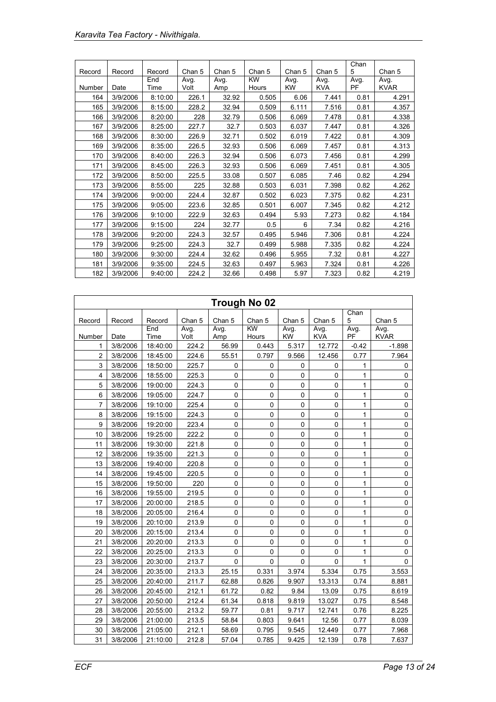|        |          |         |        |        |           |           |            | Chan |             |
|--------|----------|---------|--------|--------|-----------|-----------|------------|------|-------------|
| Record | Record   | Record  | Chan 5 | Chan 5 | Chan 5    | Chan 5    | Chan 5     | 5    | Chan 5      |
|        |          | End     | Avg.   | Avg.   | <b>KW</b> | Avg.      | Avg.       | Avg. | Avg.        |
| Number | Date     | Time    | Volt   | Amp    | Hours     | <b>KW</b> | <b>KVA</b> | PF   | <b>KVAR</b> |
| 164    | 3/9/2006 | 8:10:00 | 226.1  | 32.92  | 0.505     | 6.06      | 7.441      | 0.81 | 4.291       |
| 165    | 3/9/2006 | 8:15:00 | 228.2  | 32.94  | 0.509     | 6.111     | 7.516      | 0.81 | 4.357       |
| 166    | 3/9/2006 | 8:20:00 | 228    | 32.79  | 0.506     | 6.069     | 7.478      | 0.81 | 4.338       |
| 167    | 3/9/2006 | 8:25:00 | 227.7  | 32.7   | 0.503     | 6.037     | 7.447      | 0.81 | 4.326       |
| 168    | 3/9/2006 | 8:30:00 | 226.9  | 32.71  | 0.502     | 6.019     | 7.422      | 0.81 | 4.309       |
| 169    | 3/9/2006 | 8:35:00 | 226.5  | 32.93  | 0.506     | 6.069     | 7.457      | 0.81 | 4.313       |
| 170    | 3/9/2006 | 8:40:00 | 226.3  | 32.94  | 0.506     | 6.073     | 7.456      | 0.81 | 4.299       |
| 171    | 3/9/2006 | 8:45:00 | 226.3  | 32.93  | 0.506     | 6.069     | 7.451      | 0.81 | 4.305       |
| 172    | 3/9/2006 | 8:50:00 | 225.5  | 33.08  | 0.507     | 6.085     | 7.46       | 0.82 | 4.294       |
| 173    | 3/9/2006 | 8:55:00 | 225    | 32.88  | 0.503     | 6.031     | 7.398      | 0.82 | 4.262       |
| 174    | 3/9/2006 | 9:00:00 | 224.4  | 32.87  | 0.502     | 6.023     | 7.375      | 0.82 | 4.231       |
| 175    | 3/9/2006 | 9:05:00 | 223.6  | 32.85  | 0.501     | 6.007     | 7.345      | 0.82 | 4.212       |
| 176    | 3/9/2006 | 9:10:00 | 222.9  | 32.63  | 0.494     | 5.93      | 7.273      | 0.82 | 4.184       |
| 177    | 3/9/2006 | 9:15:00 | 224    | 32.77  | 0.5       | 6         | 7.34       | 0.82 | 4.216       |
| 178    | 3/9/2006 | 9:20:00 | 224.3  | 32.57  | 0.495     | 5.946     | 7.306      | 0.81 | 4.224       |
| 179    | 3/9/2006 | 9:25:00 | 224.3  | 32.7   | 0.499     | 5.988     | 7.335      | 0.82 | 4.224       |
| 180    | 3/9/2006 | 9:30:00 | 224.4  | 32.62  | 0.496     | 5.955     | 7.32       | 0.81 | 4.227       |
| 181    | 3/9/2006 | 9:35:00 | 224.5  | 32.63  | 0.497     | 5.963     | 7.324      | 0.81 | 4.226       |
| 182    | 3/9/2006 | 9:40:00 | 224.2  | 32.66  | 0.498     | 5.97      | 7.323      | 0.82 | 4.219       |

| Trough No 02   |          |             |              |             |                          |             |                    |              |                     |  |
|----------------|----------|-------------|--------------|-------------|--------------------------|-------------|--------------------|--------------|---------------------|--|
| Record         | Record   | Record      | Chan 5       | Chan 5      | Chan 5                   | Chan 5      | Chan 5             | Chan<br>5    | Chan 5              |  |
| Number         | Date     | End<br>Time | Avg.<br>Volt | Avg.<br>Amp | $\overline{KW}$<br>Hours | Avg.<br>KW  | Avg.<br><b>KVA</b> | Avg.<br>PF   | Avg.<br><b>KVAR</b> |  |
| 1              | 3/8/2006 | 18:40:00    | 224.2        | 56.99       | 0.443                    | 5.317       | 12.772             | $-0.42$      | $-1.898$            |  |
| $\overline{2}$ | 3/8/2006 | 18:45:00    | 224.6        | 55.51       | 0.797                    | 9.566       | 12.456             | 0.77         | 7.964               |  |
| 3              | 3/8/2006 | 18:50:00    | 225.7        | $\mathbf 0$ | 0                        | 0           | 0                  | 1            | 0                   |  |
| 4              | 3/8/2006 | 18:55:00    | 225.3        | 0           | $\mathbf 0$              | $\pmb{0}$   | 0                  | $\mathbf{1}$ | 0                   |  |
| 5              | 3/8/2006 | 19:00:00    | 224.3        | 0           | 0                        | 0           | 0                  | 1            | 0                   |  |
| 6              | 3/8/2006 | 19:05:00    | 224.7        | 0           | 0                        | 0           | 0                  | 1            | 0                   |  |
| 7              | 3/8/2006 | 19:10:00    | 225.4        | 0           | 0                        | 0           | 0                  | $\mathbf{1}$ | 0                   |  |
| 8              | 3/8/2006 | 19:15:00    | 224.3        | 0           | 0                        | 0           | 0                  | 1            | 0                   |  |
| 9              | 3/8/2006 | 19:20:00    | 223.4        | 0           | $\mathbf 0$              | $\pmb{0}$   | 0                  | $\mathbf{1}$ | $\mathsf 0$         |  |
| 10             | 3/8/2006 | 19:25:00    | 222.2        | 0           | 0                        | $\pmb{0}$   | 0                  | 1            | 0                   |  |
| 11             | 3/8/2006 | 19:30:00    | 221.8        | 0           | 0                        | $\mathbf 0$ | 0                  | $\mathbf{1}$ | 0                   |  |
| 12             | 3/8/2006 | 19:35:00    | 221.3        | 0           | 0                        | $\pmb{0}$   | 0                  | $\mathbf{1}$ | $\mathsf 0$         |  |
| 13             | 3/8/2006 | 19:40:00    | 220.8        | 0           | 0                        | $\pmb{0}$   | 0                  | 1            | 0                   |  |
| 14             | 3/8/2006 | 19:45:00    | 220.5        | 0           | $\mathbf 0$              | $\mathbf 0$ | $\mathbf 0$        | $\mathbf{1}$ | 0                   |  |
| 15             | 3/8/2006 | 19:50:00    | 220          | $\pmb{0}$   | 0                        | 0           | 0                  | 1            | 0                   |  |
| 16             | 3/8/2006 | 19:55:00    | 219.5        | 0           | 0                        | $\pmb{0}$   | 0                  | 1            | 0                   |  |
| 17             | 3/8/2006 | 20:00:00    | 218.5        | 0           | $\mathsf 0$              | $\pmb{0}$   | $\pmb{0}$          | 1            | 0                   |  |
| 18             | 3/8/2006 | 20:05:00    | 216.4        | 0           | 0                        | $\mathbf 0$ | 0                  | 1            | 0                   |  |
| 19             | 3/8/2006 | 20:10:00    | 213.9        | 0           | 0                        | $\pmb{0}$   | 0                  | $\mathbf{1}$ | 0                   |  |
| 20             | 3/8/2006 | 20:15:00    | 213.4        | 0           | 0                        | $\pmb{0}$   | 0                  | 1            | $\mathsf 0$         |  |
| 21             | 3/8/2006 | 20:20:00    | 213.3        | 0           | $\mathsf 0$              | $\mathbf 0$ | 0                  | $\mathbf{1}$ | $\mathsf 0$         |  |
| 22             | 3/8/2006 | 20:25:00    | 213.3        | 0           | 0                        | $\mathbf 0$ | $\Omega$           | $\mathbf{1}$ | 0                   |  |
| 23             | 3/8/2006 | 20:30:00    | 213.7        | 0           | 0                        | 0           | 0                  | $\mathbf{1}$ | 0                   |  |
| 24             | 3/8/2006 | 20:35:00    | 213.3        | 25.15       | 0.331                    | 3.974       | 5.334              | 0.75         | 3.553               |  |
| 25             | 3/8/2006 | 20:40:00    | 211.7        | 62.88       | 0.826                    | 9.907       | 13.313             | 0.74         | 8.881               |  |
| 26             | 3/8/2006 | 20:45:00    | 212.1        | 61.72       | 0.82                     | 9.84        | 13.09              | 0.75         | 8.619               |  |
| 27             | 3/8/2006 | 20:50:00    | 212.4        | 61.34       | 0.818                    | 9.819       | 13.027             | 0.75         | 8.548               |  |
| 28             | 3/8/2006 | 20:55:00    | 213.2        | 59.77       | 0.81                     | 9.717       | 12.741             | 0.76         | 8.225               |  |
| 29             | 3/8/2006 | 21:00:00    | 213.5        | 58.84       | 0.803                    | 9.641       | 12.56              | 0.77         | 8.039               |  |
| 30             | 3/8/2006 | 21:05:00    | 212.1        | 58.69       | 0.795                    | 9.545       | 12.449             | 0.77         | 7.968               |  |
| 31             | 3/8/2006 | 21:10:00    | 212.8        | 57.04       | 0.785                    | 9.425       | 12.139             | 0.78         | 7.637               |  |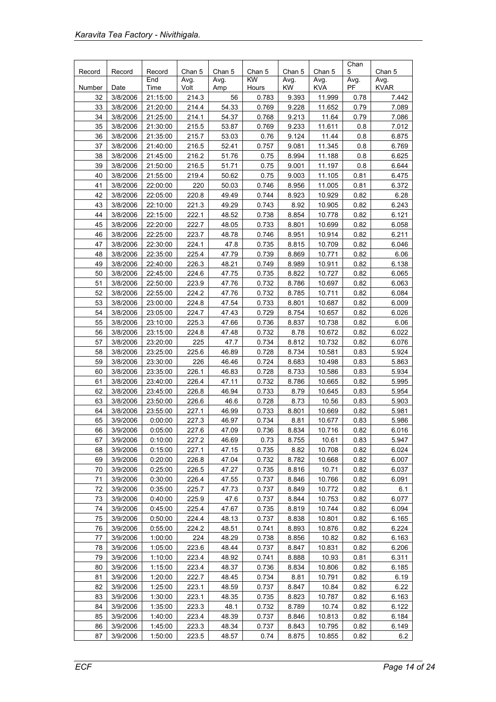| Record | Record   | Record   | Chan 5 | Chan 5 | Chan 5    | Chan 5 | Chan 5     | Chan<br>5 | Chan 5      |
|--------|----------|----------|--------|--------|-----------|--------|------------|-----------|-------------|
|        |          | End      | Avg.   | Avg.   | <b>KW</b> | Avg.   | Avg.       | Avg.      | Avg.        |
| Number | Date     | Time     | Volt   | Amp    | Hours     | KW     | <b>KVA</b> | PF        | <b>KVAR</b> |
| 32     | 3/8/2006 | 21:15:00 | 214.3  | 56     | 0.783     | 9.393  | 11.999     | 0.78      | 7.442       |
| 33     | 3/8/2006 | 21:20:00 | 214.4  | 54.33  | 0.769     | 9.228  | 11.652     | 0.79      | 7.089       |
| 34     | 3/8/2006 | 21:25:00 | 214.1  | 54.37  | 0.768     | 9.213  | 11.64      | 0.79      | 7.086       |
| 35     | 3/8/2006 | 21:30:00 | 215.5  | 53.87  | 0.769     | 9.233  | 11.611     | 0.8       | 7.012       |
| 36     | 3/8/2006 | 21:35:00 | 215.7  | 53.03  | 0.76      | 9.124  | 11.44      | 0.8       | 6.875       |
| 37     | 3/8/2006 | 21:40:00 | 216.5  | 52.41  | 0.757     | 9.081  | 11.345     | 0.8       | 6.769       |
| 38     | 3/8/2006 | 21:45:00 | 216.2  | 51.76  | 0.75      | 8.994  | 11.188     | 0.8       | 6.625       |
| 39     | 3/8/2006 | 21:50:00 | 216.5  | 51.71  | 0.75      | 9.001  | 11.197     | 0.8       | 6.644       |
| 40     | 3/8/2006 | 21:55:00 | 219.4  | 50.62  | 0.75      | 9.003  | 11.105     | 0.81      | 6.475       |
| 41     | 3/8/2006 | 22:00:00 | 220    | 50.03  | 0.746     | 8.956  | 11.005     | 0.81      | 6.372       |
| 42     | 3/8/2006 | 22:05:00 | 220.8  | 49.49  | 0.744     | 8.923  | 10.929     | 0.82      | 6.28        |
| 43     | 3/8/2006 | 22:10:00 | 221.3  | 49.29  | 0.743     | 8.92   | 10.905     | 0.82      | 6.243       |
| 44     | 3/8/2006 | 22:15:00 | 222.1  | 48.52  | 0.738     | 8.854  | 10.778     | 0.82      | 6.121       |
| 45     | 3/8/2006 | 22:20:00 | 222.7  | 48.05  | 0.733     | 8.801  | 10.699     | 0.82      | 6.058       |
| 46     | 3/8/2006 | 22:25:00 | 223.7  | 48.78  | 0.746     | 8.951  | 10.914     | 0.82      | 6.211       |
| 47     | 3/8/2006 | 22:30:00 | 224.1  | 47.8   | 0.735     | 8.815  | 10.709     | 0.82      | 6.046       |
| 48     | 3/8/2006 | 22:35:00 | 225.4  | 47.79  | 0.739     | 8.869  | 10.771     | 0.82      | 6.06        |
| 49     | 3/8/2006 | 22:40:00 | 226.3  | 48.21  | 0.749     | 8.989  | 10.911     | 0.82      | 6.138       |
| 50     | 3/8/2006 | 22:45:00 | 224.6  | 47.75  | 0.735     | 8.822  | 10.727     | 0.82      | 6.065       |
| 51     | 3/8/2006 | 22:50:00 | 223.9  | 47.76  | 0.732     | 8.786  | 10.697     | 0.82      | 6.063       |
| 52     | 3/8/2006 | 22:55:00 | 224.2  | 47.76  | 0.732     | 8.785  | 10.711     | 0.82      | 6.084       |
| 53     | 3/8/2006 | 23:00:00 | 224.8  | 47.54  | 0.733     | 8.801  | 10.687     | 0.82      | 6.009       |
| 54     | 3/8/2006 | 23:05:00 | 224.7  | 47.43  | 0.729     | 8.754  | 10.657     | 0.82      | 6.026       |
| 55     | 3/8/2006 | 23:10:00 | 225.3  | 47.66  | 0.736     | 8.837  | 10.738     | 0.82      | 6.06        |
| 56     | 3/8/2006 | 23:15:00 | 224.8  | 47.48  | 0.732     | 8.78   | 10.672     | 0.82      | 6.022       |
| 57     | 3/8/2006 | 23:20:00 | 225    | 47.7   | 0.734     | 8.812  | 10.732     | 0.82      | 6.076       |
| 58     | 3/8/2006 | 23:25:00 | 225.6  | 46.89  | 0.728     | 8.734  | 10.581     | 0.83      | 5.924       |
| 59     | 3/8/2006 | 23:30:00 | 226    | 46.46  | 0.724     | 8.683  | 10.498     | 0.83      | 5.863       |
| 60     | 3/8/2006 | 23:35:00 | 226.1  | 46.83  | 0.728     | 8.733  | 10.586     | 0.83      | 5.934       |
| 61     | 3/8/2006 | 23:40:00 | 226.4  | 47.11  | 0.732     | 8.786  | 10.665     | 0.82      | 5.995       |
| 62     | 3/8/2006 | 23:45:00 | 226.8  | 46.94  | 0.733     | 8.79   | 10.645     | 0.83      | 5.954       |
| 63     | 3/8/2006 | 23:50:00 | 226.6  | 46.6   | 0.728     | 8.73   | 10.56      | 0.83      | 5.903       |
| 64     | 3/8/2006 | 23:55:00 | 227.1  | 46.99  | 0.733     | 8.801  | 10.669     | 0.82      | 5.981       |
| 65     | 3/9/2006 | 0:00:00  | 227.3  | 46.97  | 0.734     | 8.81   | 10.677     | 0.83      | 5.986       |
| 66     | 3/9/2006 | 0:05:00  | 227.6  | 47.09  | 0.736     | 8.834  | 10.716     | 0.82      | 6.016       |
| 67     | 3/9/2006 | 0:10:00  | 227.2  | 46.69  | 0.73      | 8.755  | 10.61      | 0.83      | 5.947       |
| 68     | 3/9/2006 | 0:15:00  | 227.1  | 47.15  | 0.735     | 8.82   | 10.708     | 0.82      | 6.024       |
| 69     | 3/9/2006 | 0:20:00  | 226.8  | 47.04  | 0.732     | 8.782  | 10.668     | 0.82      | 6.007       |
| 70     | 3/9/2006 | 0:25:00  | 226.5  | 47.27  | 0.735     | 8.816  | 10.71      | 0.82      | 6.037       |
| 71     | 3/9/2006 | 0:30:00  | 226.4  | 47.55  | 0.737     | 8.846  | 10.766     | 0.82      | 6.091       |
| 72     | 3/9/2006 | 0:35:00  | 225.7  | 47.73  | 0.737     | 8.849  | 10.772     | 0.82      | 6.1         |
| 73     | 3/9/2006 | 0:40:00  | 225.9  | 47.6   | 0.737     | 8.844  | 10.753     | 0.82      | 6.077       |
| 74     | 3/9/2006 | 0:45:00  | 225.4  | 47.67  | 0.735     | 8.819  | 10.744     | 0.82      | 6.094       |
| 75     | 3/9/2006 | 0:50:00  | 224.4  | 48.13  | 0.737     | 8.838  | 10.801     | 0.82      | 6.165       |
| 76     | 3/9/2006 | 0:55:00  | 224.2  | 48.51  | 0.741     | 8.893  | 10.876     | 0.82      | 6.224       |
| 77     | 3/9/2006 | 1:00:00  | 224    | 48.29  | 0.738     | 8.856  | 10.82      | 0.82      | 6.163       |
| 78     | 3/9/2006 | 1:05:00  | 223.6  | 48.44  | 0.737     | 8.847  | 10.831     | 0.82      | 6.206       |
| 79     | 3/9/2006 | 1:10:00  | 223.4  | 48.92  | 0.741     | 8.888  | 10.93      | 0.81      | 6.311       |
| 80     | 3/9/2006 | 1:15:00  | 223.4  | 48.37  | 0.736     | 8.834  | 10.806     | 0.82      | 6.185       |
| 81     | 3/9/2006 | 1:20:00  | 222.7  | 48.45  | 0.734     | 8.81   | 10.791     | 0.82      | 6.19        |
| 82     | 3/9/2006 | 1:25:00  | 223.1  | 48.59  | 0.737     | 8.847  | 10.84      | 0.82      | 6.22        |
| 83     | 3/9/2006 | 1:30:00  | 223.1  | 48.35  | 0.735     | 8.823  | 10.787     | 0.82      | 6.163       |
| 84     | 3/9/2006 | 1:35:00  | 223.3  | 48.1   | 0.732     | 8.789  | 10.74      | 0.82      | 6.122       |
| 85     | 3/9/2006 | 1:40:00  | 223.4  | 48.39  | 0.737     | 8.846  | 10.813     | 0.82      | 6.184       |
| 86     | 3/9/2006 | 1:45:00  | 223.3  | 48.34  | 0.737     | 8.843  | 10.795     | 0.82      | 6.149       |
| 87     | 3/9/2006 | 1:50:00  | 223.5  | 48.57  | 0.74      | 8.875  | 10.855     | 0.82      | 6.2         |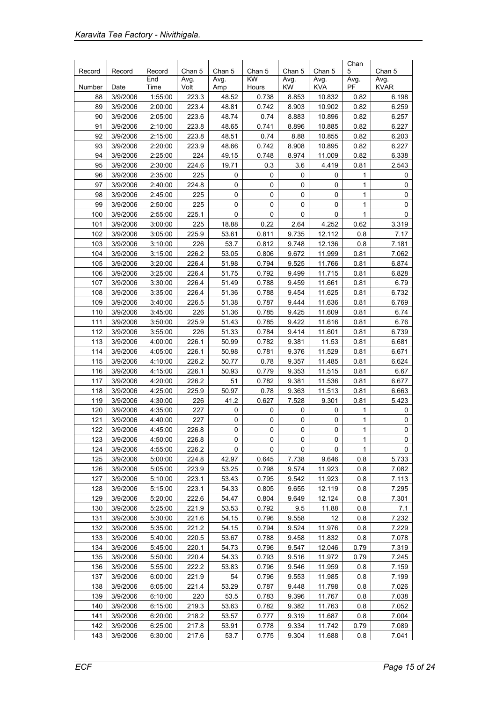| Record | Record   | Record  | Chan 5 | Chan 5 | Chan 5      | Chan 5    | Chan 5     | Chan<br>5    | Chan 5      |
|--------|----------|---------|--------|--------|-------------|-----------|------------|--------------|-------------|
|        |          | End     | Avg.   | Avg.   | <b>KW</b>   | Avg.      | Avg.       | Avg.         | Avg.        |
| Number | Date     | Time    | Volt   | Amp    | Hours       | <b>KW</b> | <b>KVA</b> | <b>PF</b>    | <b>KVAR</b> |
| 88     | 3/9/2006 | 1:55:00 | 223.3  | 48.52  | 0.738       | 8.853     | 10.832     | 0.82         | 6.198       |
| 89     | 3/9/2006 | 2:00:00 | 223.4  | 48.81  | 0.742       | 8.903     | 10.902     | 0.82         | 6.259       |
| 90     | 3/9/2006 | 2:05:00 | 223.6  | 48.74  | 0.74        | 8.883     | 10.896     | 0.82         | 6.257       |
| 91     | 3/9/2006 | 2:10:00 | 223.8  | 48.65  | 0.741       | 8.896     | 10.885     | 0.82         | 6.227       |
| 92     | 3/9/2006 | 2:15:00 | 223.8  | 48.51  | 0.74        | 8.88      | 10.855     | 0.82         | 6.203       |
| 93     | 3/9/2006 | 2:20:00 | 223.9  | 48.66  | 0.742       | 8.908     | 10.895     | 0.82         | 6.227       |
| 94     | 3/9/2006 | 2:25:00 | 224    | 49.15  | 0.748       | 8.974     | 11.009     | 0.82         | 6.338       |
| 95     | 3/9/2006 | 2:30:00 | 224.6  | 19.71  | 0.3         | 3.6       | 4.419      | 0.81         | 2.543       |
| 96     | 3/9/2006 | 2:35:00 | 225    | 0      | 0           | 0         | 0          | 1            | 0           |
| 97     | 3/9/2006 | 2:40:00 | 224.8  | 0      | 0           | 0         | 0          | 1            | 0           |
| 98     | 3/9/2006 | 2:45:00 | 225    | 0      | 0           | 0         | 0          | 1            | 0           |
| 99     | 3/9/2006 | 2:50:00 | 225    | 0      | $\mathbf 0$ | 0         | 0          | 1            | 0           |
| 100    | 3/9/2006 | 2:55:00 | 225.1  | 0      | 0           | 0         | 0          | $\mathbf{1}$ | 0           |
| 101    | 3/9/2006 | 3:00:00 | 225    | 18.88  | 0.22        | 2.64      | 4.252      | 0.62         | 3.319       |
| 102    | 3/9/2006 | 3:05:00 | 225.9  | 53.61  | 0.811       | 9.735     | 12.112     | 0.8          | 7.17        |
| 103    | 3/9/2006 | 3:10:00 | 226    | 53.7   | 0.812       | 9.748     | 12.136     | 0.8          | 7.181       |
| 104    | 3/9/2006 | 3:15:00 | 226.2  | 53.05  | 0.806       | 9.672     | 11.999     | 0.81         | 7.062       |
| 105    | 3/9/2006 | 3:20:00 | 226.4  | 51.98  | 0.794       | 9.525     | 11.766     | 0.81         | 6.874       |
| 106    | 3/9/2006 | 3:25:00 | 226.4  | 51.75  | 0.792       | 9.499     | 11.715     | 0.81         | 6.828       |
| 107    | 3/9/2006 | 3:30:00 | 226.4  | 51.49  | 0.788       | 9.459     | 11.661     | 0.81         | 6.79        |
| 108    | 3/9/2006 | 3:35:00 | 226.4  | 51.36  | 0.788       | 9.454     | 11.625     | 0.81         | 6.732       |
| 109    | 3/9/2006 | 3:40:00 | 226.5  | 51.38  | 0.787       | 9.444     | 11.636     | 0.81         | 6.769       |
| 110    | 3/9/2006 | 3:45:00 | 226    | 51.36  | 0.785       | 9.425     | 11.609     | 0.81         | 6.74        |
| 111    | 3/9/2006 | 3:50:00 | 225.9  | 51.43  | 0.785       | 9.422     | 11.616     | 0.81         | 6.76        |
| 112    | 3/9/2006 | 3:55:00 | 226    | 51.33  | 0.784       | 9.414     | 11.601     | 0.81         | 6.739       |
| 113    | 3/9/2006 | 4:00:00 | 226.1  | 50.99  | 0.782       | 9.381     | 11.53      | 0.81         | 6.681       |
| 114    | 3/9/2006 | 4:05:00 | 226.1  | 50.98  | 0.781       | 9.376     | 11.529     | 0.81         | 6.671       |
| 115    | 3/9/2006 | 4:10:00 | 226.2  | 50.77  | 0.78        | 9.357     | 11.485     | 0.81         | 6.624       |
| 116    | 3/9/2006 | 4:15:00 | 226.1  | 50.93  | 0.779       | 9.353     | 11.515     | 0.81         | 6.67        |
| 117    | 3/9/2006 | 4:20:00 | 226.2  | 51     | 0.782       | 9.381     | 11.536     | 0.81         | 6.677       |
| 118    | 3/9/2006 | 4:25:00 | 225.9  | 50.97  | 0.78        | 9.363     | 11.513     | 0.81         | 6.663       |
| 119    | 3/9/2006 | 4:30:00 | 226    | 41.2   | 0.627       | 7.528     | 9.301      | 0.81         | 5.423       |
| 120    | 3/9/2006 | 4:35:00 | 227    | 0      | 0           | 0         | 0          | 1            | 0           |
| 121    | 3/9/2006 | 4:40:00 | 227    | 0      | 0           | 0         | 0          | 1            | 0           |
| 122    | 3/9/2006 | 4:45:00 | 226.8  | 0      | 0           | 0         | 0          | $\mathbf{1}$ | 0           |
| 123    | 3/9/2006 | 4:50:00 | 226.8  | 0      | 0           | 0         | 0          | 1            | 0           |
| 124    | 3/9/2006 | 4:55:00 | 226.2  | 0      | 0           | 0         | 0          | 1            | 0           |
| 125    | 3/9/2006 | 5:00:00 | 224.8  | 42.97  | 0.645       | 7.738     | 9.646      | 0.8          | 5.733       |
| 126    | 3/9/2006 | 5:05:00 | 223.9  | 53.25  | 0.798       | 9.574     | 11.923     | 0.8          | 7.082       |
| 127    | 3/9/2006 | 5:10:00 | 223.1  | 53.43  | 0.795       | 9.542     | 11.923     | 0.8          | 7.113       |
| 128    | 3/9/2006 | 5:15:00 | 223.1  | 54.33  | 0.805       | 9.655     | 12.119     | 0.8          | 7.295       |
| 129    | 3/9/2006 | 5:20:00 | 222.6  | 54.47  | 0.804       | 9.649     | 12.124     | 0.8          | 7.301       |
| 130    | 3/9/2006 | 5:25:00 | 221.9  | 53.53  | 0.792       | 9.5       | 11.88      | 0.8          | 7.1         |
| 131    | 3/9/2006 | 5:30:00 | 221.6  | 54.15  | 0.796       | 9.558     | 12         | 0.8          | 7.232       |
| 132    | 3/9/2006 | 5:35:00 | 221.2  | 54.15  | 0.794       | 9.524     | 11.976     | 0.8          | 7.229       |
| 133    | 3/9/2006 | 5:40:00 | 220.5  | 53.67  | 0.788       | 9.458     | 11.832     | 0.8          | 7.078       |
| 134    | 3/9/2006 | 5:45:00 | 220.1  | 54.73  | 0.796       | 9.547     | 12.046     | 0.79         | 7.319       |
| 135    | 3/9/2006 | 5:50:00 | 220.4  | 54.33  | 0.793       | 9.516     | 11.972     | 0.79         | 7.245       |
| 136    | 3/9/2006 | 5:55:00 | 222.2  | 53.83  | 0.796       | 9.546     | 11.959     | 0.8          | 7.159       |
| 137    | 3/9/2006 | 6:00:00 | 221.9  | 54     | 0.796       | 9.553     | 11.985     | 0.8          | 7.199       |
| 138    | 3/9/2006 | 6:05:00 | 221.4  | 53.29  | 0.787       | 9.448     | 11.798     | 0.8          | 7.026       |
| 139    | 3/9/2006 | 6:10:00 | 220    | 53.5   | 0.783       | 9.396     | 11.767     | 0.8          | 7.038       |
| 140    | 3/9/2006 | 6:15:00 | 219.3  | 53.63  | 0.782       | 9.382     | 11.763     | 0.8          | 7.052       |
| 141    | 3/9/2006 | 6:20:00 | 218.2  | 53.57  | 0.777       | 9.319     | 11.687     | 0.8          | 7.004       |
| 142    | 3/9/2006 | 6:25:00 | 217.8  | 53.91  | 0.778       | 9.334     | 11.742     | 0.79         | 7.089       |
| 143    | 3/9/2006 | 6:30:00 | 217.6  | 53.7   | 0.775       | 9.304     | 11.688     | 0.8          | 7.041       |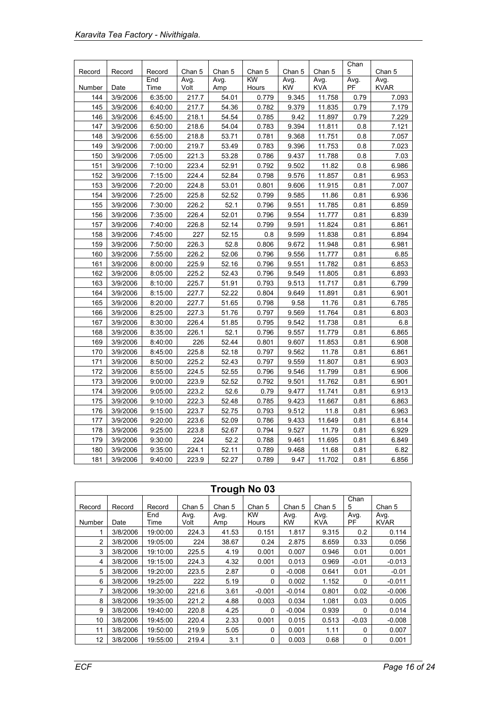|        |          |               |              |             |                     |                   |                    | Chan              |                     |
|--------|----------|---------------|--------------|-------------|---------------------|-------------------|--------------------|-------------------|---------------------|
| Record | Record   | Record<br>End | Chan 5       | Chan 5      | Chan 5<br><b>KW</b> | Chan 5            | Chan 5             | 5                 | Chan 5              |
| Number | Date     | Time          | Avg.<br>Volt | Avg.<br>Amp | Hours               | Avg.<br><b>KW</b> | Avg.<br><b>KVA</b> | Avg.<br><b>PF</b> | Avg.<br><b>KVAR</b> |
| 144    | 3/9/2006 | 6:35:00       | 217.7        | 54.01       | 0.779               | 9.345             | 11.758             | 0.79              | 7.093               |
| 145    | 3/9/2006 | 6:40:00       | 217.7        | 54.36       | 0.782               | 9.379             | 11.835             | 0.79              | 7.179               |
| 146    | 3/9/2006 | 6:45:00       | 218.1        | 54.54       | 0.785               | 9.42              | 11.897             | 0.79              | 7.229               |
| 147    | 3/9/2006 | 6:50:00       | 218.6        | 54.04       | 0.783               | 9.394             | 11.811             | 0.8               | 7.121               |
| 148    | 3/9/2006 | 6:55:00       | 218.8        | 53.71       | 0.781               | 9.368             | 11.751             | 0.8               | 7.057               |
| 149    | 3/9/2006 | 7:00:00       | 219.7        | 53.49       | 0.783               | 9.396             | 11.753             | 0.8               | 7.023               |
| 150    | 3/9/2006 | 7:05:00       | 221.3        | 53.28       | 0.786               | 9.437             | 11.788             | 0.8               | 7.03                |
| 151    | 3/9/2006 | 7:10:00       | 223.4        | 52.91       | 0.792               | 9.502             | 11.82              | 0.8               | 6.986               |
| 152    | 3/9/2006 | 7:15:00       | 224.4        | 52.84       | 0.798               | 9.576             | 11.857             | 0.81              | 6.953               |
| 153    | 3/9/2006 | 7:20:00       | 224.8        | 53.01       | 0.801               | 9.606             | 11.915             | 0.81              | 7.007               |
| 154    | 3/9/2006 | 7:25:00       | 225.8        | 52.52       | 0.799               | 9.585             | 11.86              | 0.81              | 6.936               |
| 155    | 3/9/2006 | 7:30:00       | 226.2        | 52.1        | 0.796               | 9.551             | 11.785             | 0.81              | 6.859               |
| 156    | 3/9/2006 | 7:35:00       | 226.4        | 52.01       | 0.796               | 9.554             | 11.777             | 0.81              | 6.839               |
| 157    | 3/9/2006 | 7:40:00       | 226.8        | 52.14       | 0.799               | 9.591             | 11.824             | 0.81              | 6.861               |
| 158    | 3/9/2006 | 7:45:00       | 227          | 52.15       | 0.8                 | 9.599             | 11.838             | 0.81              | 6.894               |
| 159    | 3/9/2006 | 7:50:00       | 226.3        | 52.8        | 0.806               | 9.672             | 11.948             | 0.81              | 6.981               |
| 160    | 3/9/2006 | 7:55:00       | 226.2        | 52.06       | 0.796               | 9.556             | 11.777             | 0.81              | 6.85                |
| 161    | 3/9/2006 | 8:00:00       | 225.9        | 52.16       | 0.796               | 9.551             | 11.782             | 0.81              | 6.853               |
| 162    | 3/9/2006 | 8:05:00       | 225.2        | 52.43       | 0.796               | 9.549             | 11.805             | 0.81              | 6.893               |
| 163    | 3/9/2006 | 8:10:00       | 225.7        | 51.91       | 0.793               | 9.513             | 11.717             | 0.81              | 6.799               |
| 164    | 3/9/2006 | 8:15:00       | 227.7        | 52.22       | 0.804               | 9.649             | 11.891             | 0.81              | 6.901               |
| 165    | 3/9/2006 | 8:20:00       | 227.7        | 51.65       | 0.798               | 9.58              | 11.76              | 0.81              | 6.785               |
| 166    | 3/9/2006 | 8:25:00       | 227.3        | 51.76       | 0.797               | 9.569             | 11.764             | 0.81              | 6.803               |
| 167    | 3/9/2006 | 8:30:00       | 226.4        | 51.85       | 0.795               | 9.542             | 11.738             | 0.81              | 6.8                 |
| 168    | 3/9/2006 | 8:35:00       | 226.1        | 52.1        | 0.796               | 9.557             | 11.779             | 0.81              | 6.865               |
| 169    | 3/9/2006 | 8:40:00       | 226          | 52.44       | 0.801               | 9.607             | 11.853             | 0.81              | 6.908               |
| 170    | 3/9/2006 | 8:45:00       | 225.8        | 52.18       | 0.797               | 9.562             | 11.78              | 0.81              | 6.861               |
| 171    | 3/9/2006 | 8:50:00       | 225.2        | 52.43       | 0.797               | 9.559             | 11.807             | 0.81              | 6.903               |
| 172    | 3/9/2006 | 8:55:00       | 224.5        | 52.55       | 0.796               | 9.546             | 11.799             | 0.81              | 6.906               |
| 173    | 3/9/2006 | 9:00:00       | 223.9        | 52.52       | 0.792               | 9.501             | 11.762             | 0.81              | 6.901               |
| 174    | 3/9/2006 | 9:05:00       | 223.2        | 52.6        | 0.79                | 9.477             | 11.741             | 0.81              | 6.913               |
| 175    | 3/9/2006 | 9:10:00       | 222.3        | 52.48       | 0.785               | 9.423             | 11.667             | 0.81              | 6.863               |
| 176    | 3/9/2006 | 9:15:00       | 223.7        | 52.75       | 0.793               | 9.512             | 11.8               | 0.81              | 6.963               |
| 177    | 3/9/2006 | 9:20:00       | 223.6        | 52.09       | 0.786               | 9.433             | 11.649             | 0.81              | 6.814               |
| 178    | 3/9/2006 | 9:25:00       | 223.8        | 52.67       | 0.794               | 9.527             | 11.79              | 0.81              | 6.929               |
| 179    | 3/9/2006 | 9:30:00       | 224          | 52.2        | 0.788               | 9.461             | 11.695             | 0.81              | 6.849               |
| 180    | 3/9/2006 | 9:35:00       | 224.1        | 52.11       | 0.789               | 9.468             | 11.68              | 0.81              | 6.82                |
| 181    | 3/9/2006 | 9:40:00       | 223.9        | 52.27       | 0.789               | 9.47              | 11.702             | 0.81              | 6.856               |

|        | <b>Trough No 03</b> |             |              |             |             |            |                    |                   |                     |  |  |  |
|--------|---------------------|-------------|--------------|-------------|-------------|------------|--------------------|-------------------|---------------------|--|--|--|
| Record | Record              | Record      | Chan 5       | Chan 5      | Chan 5      | Chan 5     | Chan 5             | Chan<br>5         | Chan 5              |  |  |  |
| Number | Date                | End<br>Time | Avg.<br>Volt | Avg.<br>Amp | KW<br>Hours | Avg.<br>KW | Avg.<br><b>KVA</b> | Avg.<br><b>PF</b> | Avg.<br><b>KVAR</b> |  |  |  |
| 1      | 3/8/2006            | 19:00:00    | 224.3        | 41.53       | 0.151       | 1.817      | 9.315              | 0.2               | 0.114               |  |  |  |
| 2      | 3/8/2006            | 19:05:00    | 224          | 38.67       | 0.24        | 2.875      | 8.659              | 0.33              | 0.056               |  |  |  |
| 3      | 3/8/2006            | 19:10:00    | 225.5        | 4.19        | 0.001       | 0.007      | 0.946              | 0.01              | 0.001               |  |  |  |
| 4      | 3/8/2006            | 19:15:00    | 224.3        | 4.32        | 0.001       | 0.013      | 0.969              | $-0.01$           | $-0.013$            |  |  |  |
| 5      | 3/8/2006            | 19:20:00    | 223.5        | 2.87        | 0           | $-0.008$   | 0.641              | 0.01              | $-0.01$             |  |  |  |
| 6      | 3/8/2006            | 19:25:00    | 222          | 5.19        | 0           | 0.002      | 1.152              | 0                 | $-0.011$            |  |  |  |
| 7      | 3/8/2006            | 19:30:00    | 221.6        | 3.61        | $-0.001$    | $-0.014$   | 0.801              | 0.02              | $-0.006$            |  |  |  |
| 8      | 3/8/2006            | 19:35:00    | 221.2        | 4.88        | 0.003       | 0.034      | 1.081              | 0.03              | 0.005               |  |  |  |
| 9      | 3/8/2006            | 19:40:00    | 220.8        | 4.25        | 0           | $-0.004$   | 0.939              | $\Omega$          | 0.014               |  |  |  |
| 10     | 3/8/2006            | 19:45:00    | 220.4        | 2.33        | 0.001       | 0.015      | 0.513              | $-0.03$           | $-0.008$            |  |  |  |
| 11     | 3/8/2006            | 19:50:00    | 219.9        | 5.05        | 0           | 0.001      | 1.11               | 0                 | 0.007               |  |  |  |
| 12     | 3/8/2006            | 19:55:00    | 219.4        | 3.1         | 0           | 0.003      | 0.68               | 0                 | 0.001               |  |  |  |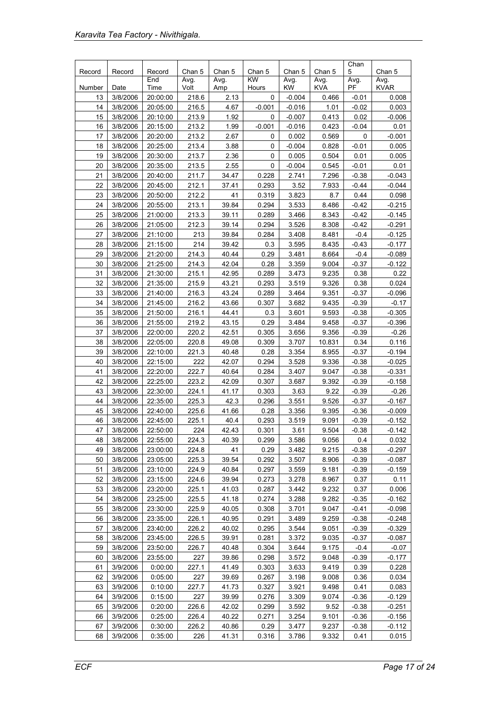| Record   | Record               | Record               | Chan 5         | Chan 5       | Chan 5        | Chan 5               | Chan 5         | Chan<br>5       | Chan 5            |
|----------|----------------------|----------------------|----------------|--------------|---------------|----------------------|----------------|-----------------|-------------------|
|          |                      | End                  | Avg.           | Avg.         | KW            | Avg.                 | Avg.           | Avg.            | Avg.              |
| Number   | Date                 | Time                 | Volt           | Amp          | Hours         | <b>KW</b>            | <b>KVA</b>     | PF              | <b>KVAR</b>       |
| 13       | 3/8/2006             | 20:00:00             | 218.6          | 2.13         | 0             | $-0.004$             | 0.466          | $-0.01$         | 0.008             |
| 14<br>15 | 3/8/2006             | 20:05:00             | 216.5          | 4.67<br>1.92 | $-0.001$      | $-0.016$             | 1.01           | $-0.02$         | 0.003             |
| 16       | 3/8/2006<br>3/8/2006 | 20:10:00<br>20:15:00 | 213.9<br>213.2 | 1.99         | 0<br>$-0.001$ | $-0.007$<br>$-0.016$ | 0.413<br>0.423 | 0.02<br>$-0.04$ | $-0.006$<br>0.01  |
| 17       | 3/8/2006             | 20:20:00             | 213.2          | 2.67         | 0             | 0.002                | 0.569          | 0               | $-0.001$          |
| 18       | 3/8/2006             | 20:25:00             | 213.4          | 3.88         | 0             | $-0.004$             | 0.828          | $-0.01$         | 0.005             |
| 19       | 3/8/2006             | 20:30:00             | 213.7          | 2.36         | 0             | 0.005                | 0.504          | 0.01            | 0.005             |
| 20       | 3/8/2006             | 20:35:00             | 213.5          | 2.55         | 0             | $-0.004$             | 0.545          | $-0.01$         | 0.01              |
| 21       | 3/8/2006             | 20:40:00             | 211.7          | 34.47        | 0.228         | 2.741                | 7.296          | $-0.38$         | $-0.043$          |
| 22       | 3/8/2006             | 20:45:00             | 212.1          | 37.41        | 0.293         | 3.52                 | 7.933          | $-0.44$         | $-0.044$          |
| 23       | 3/8/2006             | 20:50:00             | 212.2          | 41           | 0.319         | 3.823                | 8.7            | 0.44            | 0.098             |
| 24       | 3/8/2006             | 20:55:00             | 213.1          | 39.84        | 0.294         | 3.533                | 8.486          | $-0.42$         | $-0.215$          |
| 25       | 3/8/2006             | 21:00:00             | 213.3          | 39.11        | 0.289         | 3.466                | 8.343          | $-0.42$         | $-0.145$          |
| 26       | 3/8/2006             | 21:05:00             | 212.3          | 39.14        | 0.294         | 3.526                | 8.308          | $-0.42$         | $-0.291$          |
| 27       | 3/8/2006             | 21:10:00             | 213            | 39.84        | 0.284         | 3.408                | 8.481          | $-0.4$          | $-0.125$          |
| 28       | 3/8/2006             | 21:15:00             | 214            | 39.42        | 0.3           | 3.595                | 8.435          | $-0.43$         | $-0.177$          |
| 29       | 3/8/2006             | 21:20:00             | 214.3          | 40.44        | 0.29          | 3.481                | 8.664          | $-0.4$          | $-0.089$          |
| 30       | 3/8/2006             | 21:25:00             | 214.3          | 42.04        | 0.28          | 3.359                | 9.004          | $-0.37$         | $-0.122$          |
| 31       | 3/8/2006             | 21:30:00             | 215.1          | 42.95        | 0.289         | 3.473                | 9.235          | 0.38            | 0.22              |
| 32       | 3/8/2006             | 21:35:00             | 215.9          | 43.21        | 0.293         | 3.519                | 9.326          | 0.38            | 0.024             |
| 33       | 3/8/2006             | 21:40:00             | 216.3          | 43.24        | 0.289         | 3.464                | 9.351          | $-0.37$         | $-0.096$          |
| 34       | 3/8/2006             | 21:45:00             | 216.2          | 43.66        | 0.307         | 3.682                | 9.435          | $-0.39$         | $-0.17$           |
| 35       | 3/8/2006             | 21:50:00             | 216.1          | 44.41        | 0.3           | 3.601                | 9.593          | $-0.38$         | $-0.305$          |
| 36       | 3/8/2006             | 21:55:00             | 219.2          | 43.15        | 0.29          | 3.484                | 9.458          | $-0.37$         | $-0.396$          |
| 37       | 3/8/2006             | 22:00:00             | 220.2          | 42.51        | 0.305         | 3.656                | 9.356          | $-0.39$         | $-0.26$           |
| 38       | 3/8/2006             | 22:05:00             | 220.8          | 49.08        | 0.309         | 3.707                | 10.831         | 0.34            | 0.116             |
| 39       | 3/8/2006             | 22:10:00             | 221.3          | 40.48        | 0.28          | 3.354                | 8.955          | $-0.37$         | $-0.194$          |
| 40       | 3/8/2006             | 22:15:00             | 222            | 42.07        | 0.294         | 3.528                | 9.336          | $-0.38$         | $-0.025$          |
| 41       | 3/8/2006             | 22:20:00             | 222.7          | 40.64        | 0.284         | 3.407                | 9.047          | $-0.38$         | $-0.331$          |
| 42       | 3/8/2006             | 22:25:00             | 223.2          | 42.09        | 0.307         | 3.687                | 9.392          | $-0.39$         | $-0.158$          |
| 43       | 3/8/2006             | 22:30:00             | 224.1          | 41.17        | 0.303         | 3.63                 | 9.22           | $-0.39$         | $-0.26$           |
| 44       | 3/8/2006             | 22:35:00             | 225.3          | 42.3         | 0.296         | 3.551                | 9.526          | $-0.37$         | $-0.167$          |
| 45       | 3/8/2006             | 22:40:00             | 225.6          | 41.66        | 0.28          | 3.356                | 9.395          | $-0.36$         | $-0.009$          |
| 46       | 3/8/2006             | 22:45:00             | 225.1          | 40.4         | 0.293         | 3.519                | 9.091<br>9.504 | $-0.39$         | $-0.152$          |
| 47       | 3/8/2006             | 22:50:00<br>22:55:00 | 224            | 42.43        | 0.301         | 3.61                 |                | $-0.38$         | $-0.142$          |
| 48<br>49 | 3/8/2006<br>3/8/2006 | 23:00:00             | 224.3<br>224.8 | 40.39<br>41  | 0.299<br>0.29 | 3.586<br>3.482       | 9.056<br>9.215 | 0.4<br>$-0.38$  | 0.032<br>$-0.297$ |
| 50       | 3/8/2006             | 23:05:00             | 225.3          | 39.54        | 0.292         | 3.507                | 8.906          | $-0.39$         | $-0.087$          |
| 51       | 3/8/2006             | 23:10:00             | 224.9          | 40.84        | 0.297         | 3.559                | 9.181          | $-0.39$         | $-0.159$          |
| 52       | 3/8/2006             | 23:15:00             | 224.6          | 39.94        | 0.273         | 3.278                | 8.967          | 0.37            | 0.11              |
| 53       | 3/8/2006             | 23:20:00             | 225.1          | 41.03        | 0.287         | 3.442                | 9.232          | 0.37            | 0.006             |
| 54       | 3/8/2006             | 23:25:00             | 225.5          | 41.18        | 0.274         | 3.288                | 9.282          | $-0.35$         | $-0.162$          |
| 55       | 3/8/2006             | 23:30:00             | 225.9          | 40.05        | 0.308         | 3.701                | 9.047          | $-0.41$         | $-0.098$          |
| 56       | 3/8/2006             | 23:35:00             | 226.1          | 40.95        | 0.291         | 3.489                | 9.259          | $-0.38$         | $-0.248$          |
| 57       | 3/8/2006             | 23:40:00             | 226.2          | 40.02        | 0.295         | 3.544                | 9.051          | $-0.39$         | $-0.329$          |
| 58       | 3/8/2006             | 23:45:00             | 226.5          | 39.91        | 0.281         | 3.372                | 9.035          | $-0.37$         | $-0.087$          |
| 59       | 3/8/2006             | 23:50:00             | 226.7          | 40.48        | 0.304         | 3.644                | 9.175          | $-0.4$          | $-0.07$           |
| 60       | 3/8/2006             | 23:55:00             | 227            | 39.86        | 0.298         | 3.572                | 9.048          | $-0.39$         | $-0.177$          |
| 61       | 3/9/2006             | 0:00:00              | 227.1          | 41.49        | 0.303         | 3.633                | 9.419          | 0.39            | 0.228             |
| 62       | 3/9/2006             | 0:05:00              | 227            | 39.69        | 0.267         | 3.198                | 9.008          | 0.36            | 0.034             |
| 63       | 3/9/2006             | 0:10:00              | 227.7          | 41.73        | 0.327         | 3.921                | 9.498          | 0.41            | 0.083             |
| 64       | 3/9/2006             | 0:15:00              | 227            | 39.99        | 0.276         | 3.309                | 9.074          | $-0.36$         | $-0.129$          |
| 65       | 3/9/2006             | 0:20:00              | 226.6          | 42.02        | 0.299         | 3.592                | 9.52           | $-0.38$         | $-0.251$          |
| 66       | 3/9/2006             | 0:25:00              | 226.4          | 40.22        | 0.271         | 3.254                | 9.101          | $-0.36$         | $-0.156$          |
| 67       | 3/9/2006             | 0:30:00              | 226.2          | 40.86        | 0.29          | 3.477                | 9.237          | $-0.38$         | $-0.112$          |
| 68       | 3/9/2006             | 0:35:00              | 226            | 41.31        | 0.316         | 3.786                | 9.332          | 0.41            | 0.015             |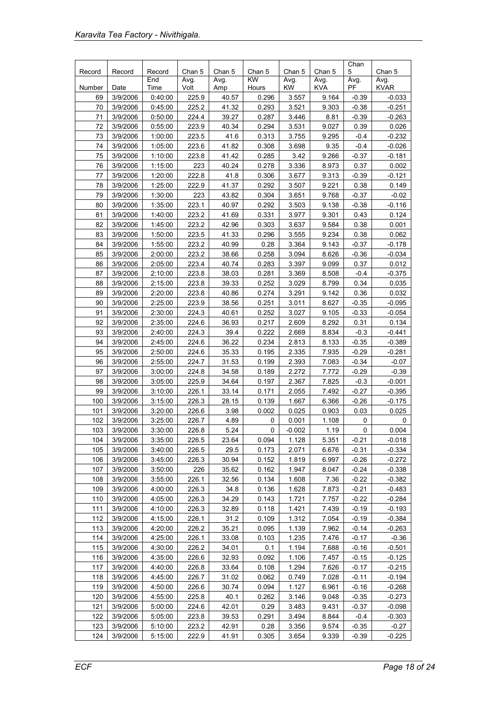|        |          |               |                |                |              |                |                | Chan      |                     |
|--------|----------|---------------|----------------|----------------|--------------|----------------|----------------|-----------|---------------------|
| Record | Record   | Record<br>End | Chan 5<br>Avg. | Chan 5<br>Avg. | Chan 5<br>KW | Chan 5<br>Avg. | Chan 5<br>Avg. | 5<br>Avg. | Chan 5<br>Avg.      |
| Number | Date     | Time          | Volt           | Amp            | Hours        | <b>KW</b>      | <b>KVA</b>     | PF        | <b>KVAR</b>         |
| 69     | 3/9/2006 | 0:40:00       | 225.9          | 40.57          | 0.296        | 3.557          | 9.164          | $-0.39$   | $-0.033$            |
| 70     | 3/9/2006 | 0:45:00       | 225.2          | 41.32          | 0.293        | 3.521          | 9.303          | $-0.38$   | $-0.251$            |
| 71     | 3/9/2006 | 0:50:00       | 224.4          | 39.27          | 0.287        | 3.446          | 8.81           | $-0.39$   | $-0.263$            |
| 72     | 3/9/2006 | 0:55:00       | 223.9          | 40.34          | 0.294        | 3.531          | 9.027          | 0.39      | 0.026               |
| 73     | 3/9/2006 | 1:00:00       | 223.5          | 41.6           | 0.313        | 3.755          | 9.295          | $-0.4$    | $-0.232$            |
| 74     | 3/9/2006 | 1:05:00       | 223.6          | 41.82          | 0.308        | 3.698          | 9.35           | $-0.4$    | $-0.026$            |
| 75     | 3/9/2006 | 1:10:00       | 223.8          | 41.42          | 0.285        | 3.42           | 9.266          | $-0.37$   | $-0.181$            |
| 76     | 3/9/2006 | 1:15:00       | 223            | 40.24          | 0.278        | 3.336          | 8.973          | 0.37      | 0.002               |
| 77     | 3/9/2006 | 1:20:00       | 222.8          | 41.8           | 0.306        | 3.677          | 9.313          | $-0.39$   | $-0.121$            |
| 78     | 3/9/2006 | 1:25:00       | 222.9          | 41.37          | 0.292        | 3.507          | 9.221          | 0.38      | 0.149               |
| 79     | 3/9/2006 | 1:30:00       | 223            | 43.82          | 0.304        | 3.651          | 9.768          | $-0.37$   | $-0.02$             |
| 80     | 3/9/2006 | 1:35:00       | 223.1          | 40.97          | 0.292        | 3.503          | 9.138          | $-0.38$   | $-0.116$            |
| 81     | 3/9/2006 | 1:40:00       | 223.2          | 41.69          | 0.331        | 3.977          | 9.301          | 0.43      | 0.124               |
| 82     | 3/9/2006 | 1:45:00       | 223.2          | 42.96          | 0.303        | 3.637          | 9.584          | 0.38      | 0.001               |
| 83     | 3/9/2006 | 1:50:00       | 223.5          | 41.33          | 0.296        | 3.555          | 9.234          | 0.38      | 0.062               |
| 84     | 3/9/2006 | 1:55:00       | 223.2          | 40.99          | 0.28         | 3.364          | 9.143          | $-0.37$   | $-0.178$            |
| 85     | 3/9/2006 | 2:00:00       | 223.2          | 38.66          | 0.258        | 3.094          | 8.626          | $-0.36$   | $-0.034$            |
| 86     | 3/9/2006 | 2:05:00       | 223.4          | 40.74          | 0.283        | 3.397          | 9.099          | 0.37      | 0.012               |
| 87     | 3/9/2006 | 2:10:00       | 223.8          | 38.03          | 0.281        | 3.369          | 8.508          | $-0.4$    | $-0.375$            |
| 88     | 3/9/2006 | 2:15:00       | 223.8          | 39.33          | 0.252        | 3.029          | 8.799          | 0.34      | 0.035               |
| 89     | 3/9/2006 | 2:20:00       | 223.8          | 40.86          | 0.274        | 3.291          | 9.142          | 0.36      | 0.032               |
| 90     | 3/9/2006 | 2:25:00       | 223.9          | 38.56          | 0.251        | 3.011          | 8.627          | $-0.35$   | $-0.095$            |
| 91     | 3/9/2006 | 2:30:00       | 224.3          | 40.61          | 0.252        | 3.027          | 9.105          | $-0.33$   | $-0.054$            |
| 92     | 3/9/2006 | 2:35:00       | 224.6          | 36.93          | 0.217        | 2.609          | 8.292          | 0.31      | 0.134               |
| 93     | 3/9/2006 | 2:40:00       | 224.3          | 39.4           | 0.222        | 2.669          | 8.834          | $-0.3$    | $-0.441$            |
| 94     | 3/9/2006 | 2:45:00       | 224.6          | 36.22          | 0.234        | 2.813          | 8.133          | $-0.35$   | $-0.389$            |
| 95     | 3/9/2006 | 2:50:00       | 224.6          | 35.33          | 0.195        | 2.335          | 7.935          | $-0.29$   | $-0.281$            |
| 96     | 3/9/2006 | 2:55:00       | 224.7          | 31.53          | 0.199        | 2.393          | 7.083          | $-0.34$   | $-0.07$             |
| 97     | 3/9/2006 | 3:00:00       | 224.8          | 34.58          | 0.189        | 2.272          | 7.772          | $-0.29$   | $-0.39$             |
| 98     | 3/9/2006 | 3:05:00       | 225.9          | 34.64          | 0.197        | 2.367          | 7.825          | $-0.3$    | $-0.001$            |
| 99     | 3/9/2006 | 3:10:00       | 226.1          | 33.14          | 0.171        | 2.055          | 7.492          | $-0.27$   | $-0.395$            |
| 100    | 3/9/2006 | 3:15:00       | 226.3          | 28.15          | 0.139        | 1.667          | 6.366          | $-0.26$   | $-0.175$            |
| 101    | 3/9/2006 | 3:20:00       | 226.6          | 3.98           | 0.002        | 0.025          | 0.903          | 0.03      | 0.025               |
| 102    | 3/9/2006 | 3:25:00       | 226.7          | 4.89           | 0            | 0.001          | 1.108          | 0         | 0                   |
| 103    | 3/9/2006 | 3:30:00       | 226.8          | 5.24           | 0            | $-0.002$       | 1.19           | 0         | 0.004               |
| 104    | 3/9/2006 | 3:35:00       | 226.5          | 23.64          | 0.094        | 1.128          | 5.351          | $-0.21$   | $-0.018$            |
| 105    | 3/9/2006 | 3:40:00       | 226.5          | 29.5           | 0.173        | 2.071          | 6.676          | $-0.31$   | $-0.334$            |
| 106    | 3/9/2006 | 3:45:00       | 226.3          | 30.94          | 0.152        | 1.819          | 6.997          | $-0.26$   | $-0.272$            |
| 107    | 3/9/2006 | 3:50:00       | 226            | 35.62          | 0.162        | 1.947          | 8.047          | -0.24     | $-0.338$            |
| 108    | 3/9/2006 | 3:55:00       | 226.1          | 32.56          | 0.134        | 1.608          | 7.36           | $-0.22$   | $-0.382$            |
| 109    | 3/9/2006 | 4:00:00       | 226.3          | 34.8           | 0.136        | 1.628          | 7.873          | $-0.21$   | $-0.483$            |
| 110    | 3/9/2006 | 4:05:00       | 226.3          | 34.29          | 0.143        | 1.721          | 7.757          | $-0.22$   | $-0.284$            |
| 111    | 3/9/2006 | 4:10:00       | 226.3          | 32.89          | 0.118        | 1.421          | 7.439          | $-0.19$   | $-0.193$            |
| 112    | 3/9/2006 | 4:15:00       | 226.1          | 31.2           | 0.109        | 1.312          | 7.054          | $-0.19$   | $-0.384$            |
| 113    | 3/9/2006 | 4:20:00       | 226.2          | 35.21          | 0.095        | 1.139          | 7.962          | $-0.14$   | $-0.263$            |
| 114    | 3/9/2006 |               | 226.1          |                |              |                | 7.476          | $-0.17$   |                     |
| 115    | 3/9/2006 | 4:25:00       | 226.2          | 33.08<br>34.01 | 0.103<br>0.1 | 1.235          | 7.688          | $-0.16$   | $-0.36$<br>$-0.501$ |
|        |          | 4:30:00       |                |                |              | 1.194          |                |           |                     |
| 116    | 3/9/2006 | 4:35:00       | 226.6          | 32.93          | 0.092        | 1.106          | 7.457          | $-0.15$   | $-0.125$            |
| 117    | 3/9/2006 | 4:40:00       | 226.8          | 33.64          | 0.108        | 1.294          | 7.626          | $-0.17$   | $-0.215$            |
| 118    | 3/9/2006 | 4:45:00       | 226.7          | 31.02          | 0.062        | 0.749          | 7.028          | $-0.11$   | $-0.194$            |
| 119    | 3/9/2006 | 4:50:00       | 226.6          | 30.74          | 0.094        | 1.127          | 6.961          | $-0.16$   | $-0.268$            |
| 120    | 3/9/2006 | 4:55:00       | 225.8          | 40.1           | 0.262        | 3.146          | 9.048          | $-0.35$   | $-0.273$            |
| 121    | 3/9/2006 | 5:00:00       | 224.6          | 42.01          | 0.29         | 3.483          | 9.431          | $-0.37$   | $-0.098$            |
| 122    | 3/9/2006 | 5:05:00       | 223.8          | 39.53          | 0.291        | 3.494          | 8.844          | $-0.4$    | $-0.303$            |
| 123    | 3/9/2006 | 5:10:00       | 223.2          | 42.91          | 0.28         | 3.356          | 9.574          | $-0.35$   | $-0.27$             |
| 124    | 3/9/2006 | 5:15:00       | 222.9          | 41.91          | 0.305        | 3.654          | 9.339          | $-0.39$   | $-0.225$            |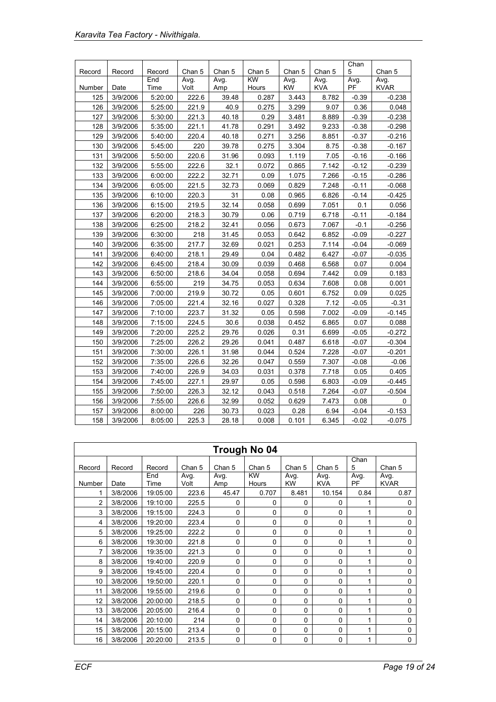| Record | Record   | Record      | Chan 5       | Chan 5      | Chan 5      | Chan 5            | Chan 5             | Chan<br>5  | Chan 5              |
|--------|----------|-------------|--------------|-------------|-------------|-------------------|--------------------|------------|---------------------|
| Number | Date     | End<br>Time | Avg.<br>Volt | Avg.<br>Amp | KW<br>Hours | Avg.<br><b>KW</b> | Avg.<br><b>KVA</b> | Avg.<br>PF | Avg.<br><b>KVAR</b> |
| 125    | 3/9/2006 | 5:20:00     | 222.6        | 39.48       | 0.287       | 3.443             | 8.782              | $-0.39$    | $-0.238$            |
| 126    | 3/9/2006 | 5:25:00     | 221.9        | 40.9        | 0.275       | 3.299             | 9.07               | 0.36       | 0.048               |
| 127    | 3/9/2006 | 5:30:00     | 221.3        | 40.18       | 0.29        | 3.481             | 8.889              | $-0.39$    | $-0.238$            |
| 128    | 3/9/2006 | 5:35:00     | 221.1        | 41.78       | 0.291       | 3.492             | 9.233              | $-0.38$    | $-0.298$            |
| 129    | 3/9/2006 | 5:40:00     | 220.4        | 40.18       | 0.271       | 3.256             | 8.851              | $-0.37$    | $-0.216$            |
| 130    | 3/9/2006 | 5:45:00     | 220          | 39.78       | 0.275       | 3.304             | 8.75               | $-0.38$    | $-0.167$            |
| 131    | 3/9/2006 | 5:50:00     | 220.6        | 31.96       | 0.093       | 1.119             | 7.05               | $-0.16$    | $-0.166$            |
| 132    | 3/9/2006 | 5:55:00     | 222.6        | 32.1        | 0.072       | 0.865             | 7.142              | $-0.12$    | $-0.239$            |
| 133    | 3/9/2006 | 6:00:00     | 222.2        | 32.71       | 0.09        | 1.075             | 7.266              | $-0.15$    | $-0.286$            |
| 134    | 3/9/2006 | 6:05:00     | 221.5        | 32.73       | 0.069       | 0.829             | 7.248              | $-0.11$    | $-0.068$            |
| 135    | 3/9/2006 | 6:10:00     | 220.3        | 31          | 0.08        | 0.965             | 6.826              | $-0.14$    | $-0.425$            |
| 136    | 3/9/2006 | 6:15:00     | 219.5        | 32.14       | 0.058       | 0.699             | 7.051              | 0.1        | 0.056               |
| 137    | 3/9/2006 | 6:20:00     | 218.3        | 30.79       | 0.06        | 0.719             | 6.718              | $-0.11$    | $-0.184$            |
| 138    | 3/9/2006 | 6:25:00     | 218.2        | 32.41       | 0.056       | 0.673             | 7.067              | $-0.1$     | $-0.256$            |
| 139    | 3/9/2006 | 6:30:00     | 218          | 31.45       | 0.053       | 0.642             | 6.852              | $-0.09$    | $-0.227$            |
| 140    | 3/9/2006 | 6:35:00     | 217.7        | 32.69       | 0.021       | 0.253             | 7.114              | $-0.04$    | $-0.069$            |
| 141    | 3/9/2006 | 6:40:00     | 218.1        | 29.49       | 0.04        | 0.482             | 6.427              | $-0.07$    | $-0.035$            |
| 142    | 3/9/2006 | 6:45:00     | 218.4        | 30.09       | 0.039       | 0.468             | 6.568              | 0.07       | 0.004               |
| 143    | 3/9/2006 | 6:50:00     | 218.6        | 34.04       | 0.058       | 0.694             | 7.442              | 0.09       | 0.183               |
| 144    | 3/9/2006 | 6:55:00     | 219          | 34.75       | 0.053       | 0.634             | 7.608              | 0.08       | 0.001               |
| 145    | 3/9/2006 | 7:00:00     | 219.9        | 30.72       | 0.05        | 0.601             | 6.752              | 0.09       | 0.025               |
| 146    | 3/9/2006 | 7:05:00     | 221.4        | 32.16       | 0.027       | 0.328             | 7.12               | $-0.05$    | $-0.31$             |
| 147    | 3/9/2006 | 7:10:00     | 223.7        | 31.32       | 0.05        | 0.598             | 7.002              | $-0.09$    | $-0.145$            |
| 148    | 3/9/2006 | 7:15:00     | 224.5        | 30.6        | 0.038       | 0.452             | 6.865              | 0.07       | 0.088               |
| 149    | 3/9/2006 | 7:20:00     | 225.2        | 29.76       | 0.026       | 0.31              | 6.699              | $-0.05$    | $-0.272$            |
| 150    | 3/9/2006 | 7:25:00     | 226.2        | 29.26       | 0.041       | 0.487             | 6.618              | $-0.07$    | $-0.304$            |
| 151    | 3/9/2006 | 7:30:00     | 226.1        | 31.98       | 0.044       | 0.524             | 7.228              | $-0.07$    | $-0.201$            |
| 152    | 3/9/2006 | 7:35:00     | 226.6        | 32.26       | 0.047       | 0.559             | 7.307              | $-0.08$    | $-0.06$             |
| 153    | 3/9/2006 | 7:40:00     | 226.9        | 34.03       | 0.031       | 0.378             | 7.718              | 0.05       | 0.405               |
| 154    | 3/9/2006 | 7:45:00     | 227.1        | 29.97       | 0.05        | 0.598             | 6.803              | $-0.09$    | $-0.445$            |
| 155    | 3/9/2006 | 7:50:00     | 226.3        | 32.12       | 0.043       | 0.518             | 7.264              | $-0.07$    | $-0.504$            |
| 156    | 3/9/2006 | 7:55:00     | 226.6        | 32.99       | 0.052       | 0.629             | 7.473              | 0.08       | 0                   |
| 157    | 3/9/2006 | 8:00:00     | 226          | 30.73       | 0.023       | 0.28              | 6.94               | $-0.04$    | $-0.153$            |
| 158    | 3/9/2006 | 8:05:00     | 225.3        | 28.18       | 0.008       | 0.101             | 6.345              | $-0.02$    | $-0.075$            |

|                | Trough No 04 |             |              |             |                    |             |                    |            |                     |  |  |  |
|----------------|--------------|-------------|--------------|-------------|--------------------|-------------|--------------------|------------|---------------------|--|--|--|
| Record         | Record       | Record      | Chan 5       | Chan 5      | Chan 5             | Chan 5      | Chan 5             | Chan<br>5  | Chan 5              |  |  |  |
| Number         | Date         | End<br>Time | Avg.<br>Volt | Avg.<br>Amp | <b>KW</b><br>Hours | Avg.<br>KW  | Avg.<br><b>KVA</b> | Avg.<br>PF | Avg.<br><b>KVAR</b> |  |  |  |
| 1              | 3/8/2006     | 19:05:00    | 223.6        | 45.47       | 0.707              | 8.481       | 10.154             | 0.84       | 0.87                |  |  |  |
| $\overline{2}$ | 3/8/2006     | 19:10:00    | 225.5        | 0           | 0                  | $\Omega$    | $\Omega$           | 1          | $\mathbf{0}$        |  |  |  |
| 3              | 3/8/2006     | 19:15:00    | 224.3        | 0           | 0                  | $\Omega$    | 0                  | 1          | $\mathbf 0$         |  |  |  |
| 4              | 3/8/2006     | 19:20:00    | 223.4        | 0           | 0                  | $\Omega$    | $\mathbf 0$        | 1          | $\mathbf 0$         |  |  |  |
| 5              | 3/8/2006     | 19:25:00    | 222.2        | 0           | 0                  | $\Omega$    | $\Omega$           | 1          | $\mathbf 0$         |  |  |  |
| 6              | 3/8/2006     | 19:30:00    | 221.8        | 0           | 0                  | $\Omega$    | $\Omega$           | 1          | 0                   |  |  |  |
| 7              | 3/8/2006     | 19:35:00    | 221.3        | 0           | 0                  | $\Omega$    | 0                  | 1          | $\mathbf 0$         |  |  |  |
| 8              | 3/8/2006     | 19:40:00    | 220.9        | $\Omega$    | $\Omega$           | $\Omega$    | $\Omega$           | 1          | $\mathbf 0$         |  |  |  |
| 9              | 3/8/2006     | 19:45:00    | 220.4        | $\Omega$    | $\Omega$           | $\Omega$    | $\Omega$           | 1          | 0                   |  |  |  |
| 10             | 3/8/2006     | 19:50:00    | 220.1        | 0           | 0                  | $\mathbf 0$ | 0                  | 1          | $\mathbf 0$         |  |  |  |
| 11             | 3/8/2006     | 19:55:00    | 219.6        | 0           | 0                  | $\Omega$    | $\Omega$           | 1          | $\mathbf 0$         |  |  |  |
| 12             | 3/8/2006     | 20:00:00    | 218.5        | 0           | 0                  | $\Omega$    | $\mathbf 0$        | 1          | 0                   |  |  |  |
| 13             | 3/8/2006     | 20:05:00    | 216.4        | $\Omega$    | $\Omega$           | $\Omega$    | $\Omega$           | 1          | $\mathbf{0}$        |  |  |  |
| 14             | 3/8/2006     | 20:10:00    | 214          | $\Omega$    | 0                  | $\Omega$    | $\Omega$           | 1          | $\mathbf 0$         |  |  |  |
| 15             | 3/8/2006     | 20:15:00    | 213.4        | 0           | 0                  | $\Omega$    | $\mathbf 0$        | 1          | $\mathbf 0$         |  |  |  |
| 16             | 3/8/2006     | 20:20:00    | 213.5        | 0           | 0                  | 0           | $\mathbf 0$        | 1          | 0                   |  |  |  |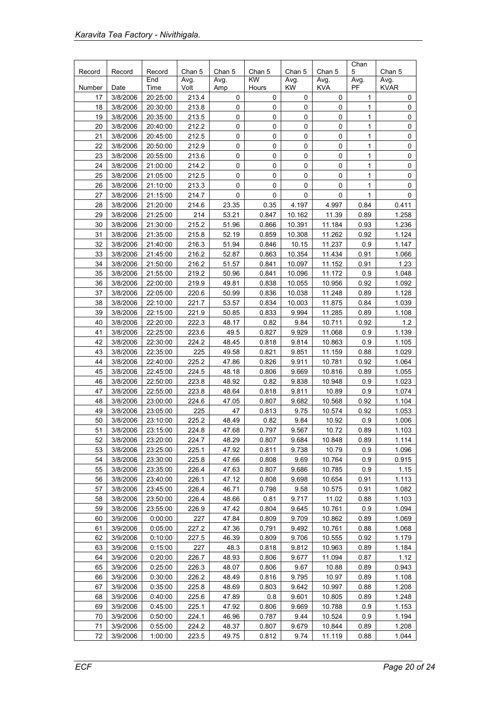|        |          |               |                |                |              |                |                | Chan         |                |
|--------|----------|---------------|----------------|----------------|--------------|----------------|----------------|--------------|----------------|
| Record | Record   | Record<br>End | Chan 5<br>Avg. | Chan 5<br>Avg. | Chan 5<br>KW | Chan 5<br>Avg. | Chan 5<br>Avg. | 5<br>Avg.    | Chan 5<br>Avg. |
| Number | Date     | Time          | Volt           | Amp            | Hours        | KW             | <b>KVA</b>     | PF           | <b>KVAR</b>    |
| 17     | 3/8/2006 | 20:25:00      | 213.4          | 0              | $\pmb{0}$    | $\mathbf 0$    | 0              | 1            | 0              |
| 18     | 3/8/2006 | 20:30:00      | 213.8          | 0              | 0            | 0              | 0              | 1            | 0              |
| 19     | 3/8/2006 | 20:35:00      | 213.5          | 0              | $\pmb{0}$    | $\mathsf 0$    | 0              | $\mathbf{1}$ | 0              |
| 20     | 3/8/2006 | 20:40:00      | 212.2          | 0              | $\pmb{0}$    | $\mathsf 0$    | 0              | 1            | 0              |
| 21     | 3/8/2006 | 20:45:00      | 212.5          | 0              | $\pmb{0}$    | $\mathsf 0$    | 0              | 1            | 0              |
| 22     | 3/8/2006 | 20:50:00      | 212.9          | 0              | $\mathbf 0$  | $\mathsf 0$    | 0              | 1            | 0              |
| 23     | 3/8/2006 | 20:55:00      | 213.6          | 0              | 0            | 0              | 0              | 1            | 0              |
| 24     | 3/8/2006 | 21:00:00      | 214.2          | 0              | 0            | 0              | 0              | 1            | 0              |
| 25     | 3/8/2006 | 21:05:00      | 212.5          | 0              | $\mathbf 0$  | 0              | 0              | 1            | 0              |
| 26     | 3/8/2006 | 21:10:00      | 213.3          | 0              | $\mathbf 0$  | 0              | 0              | 1            | 0              |
| 27     | 3/8/2006 | 21:15:00      | 214.7          | 0              | 0            | 0              | 0              | 1            | 0              |
| 28     | 3/8/2006 | 21:20:00      | 214.6          | 23.35          | 0.35         | 4.197          | 4.997          | 0.84         | 0.411          |
| 29     | 3/8/2006 | 21:25:00      | 214            | 53.21          | 0.847        | 10.162         | 11.39          | 0.89         | 1.258          |
| 30     | 3/8/2006 | 21:30:00      | 215.2          | 51.96          | 0.866        | 10.391         | 11.184         | 0.93         | 1.236          |
| 31     | 3/8/2006 | 21:35:00      | 215.8          | 52.19          | 0.859        | 10.308         | 11.262         | 0.92         | 1.124          |
| 32     | 3/8/2006 | 21:40:00      | 216.3          | 51.94          | 0.846        | 10.15          | 11.237         | 0.9          | 1.147          |
| 33     | 3/8/2006 | 21:45:00      | 216.2          | 52.87          | 0.863        | 10.354         | 11.434         | 0.91         | 1.066          |
| 34     | 3/8/2006 | 21:50:00      | 216.2          | 51.57          | 0.841        | 10.097         | 11.152         | 0.91         | 1.23           |
| 35     | 3/8/2006 | 21:55:00      | 219.2          | 50.96          | 0.841        | 10.096         | 11.172         | 0.9          | 1.048          |
| 36     | 3/8/2006 | 22:00:00      | 219.9          | 49.81          | 0.838        | 10.055         | 10.956         | 0.92         | 1.092          |
| 37     | 3/8/2006 | 22:05:00      | 220.6          | 50.99          | 0.836        | 10.038         | 11.248         | 0.89         | 1.128          |
| 38     | 3/8/2006 | 22:10:00      | 221.7          | 53.57          | 0.834        | 10.003         | 11.875         | 0.84         | 1.039          |
| 39     | 3/8/2006 | 22:15:00      | 221.9          | 50.85          | 0.833        | 9.994          | 11.285         | 0.89         | 1.108          |
| 40     | 3/8/2006 | 22:20:00      | 222.3          | 48.17          | 0.82         | 9.84           | 10.711         | 0.92         | 1.2            |
| 41     | 3/8/2006 | 22:25:00      | 223.6          | 49.5           | 0.827        | 9.929          | 11.068         | 0.9          | 1.139          |
| 42     | 3/8/2006 | 22:30:00      | 224.2          | 48.45          | 0.818        | 9.814          | 10.863         | 0.9          | 1.105          |
| 43     | 3/8/2006 | 22:35:00      | 225            | 49.58          | 0.821        | 9.851          | 11.159         | 0.88         | 1.029          |
| 44     | 3/8/2006 | 22:40:00      | 225.2          | 47.86          | 0.826        | 9.911          | 10.781         | 0.92         | 1.064          |
| 45     | 3/8/2006 | 22:45:00      | 224.5          | 48.18          | 0.806        | 9.669          | 10.816         | 0.89         | 1.055          |
| 46     | 3/8/2006 | 22:50:00      | 223.8          | 48.92          | 0.82         | 9.838          | 10.948         | 0.9          | 1.023          |
| 47     | 3/8/2006 | 22:55:00      | 223.8          | 48.64          | 0.818        | 9.811          | 10.89          | 0.9          | 1.074          |
| 48     | 3/8/2006 | 23:00:00      | 224.6          | 47.05          | 0.807        | 9.682          | 10.568         | 0.92         | 1.104          |
| 49     | 3/8/2006 | 23:05:00      | 225            | 47             | 0.813        | 9.75           | 10.574         | 0.92         | 1.053          |
| 50     | 3/8/2006 | 23:10:00      | 225.2          | 48.49          | 0.82         | 9.84           | 10.92          | 0.9          | 1.006          |
| 51     | 3/8/2006 | 23:15:00      | 224.8          | 47.68          | 0.797        | 9.567          | 10.72          | 0.89         | 1.103          |
| 52     | 3/8/2006 | 23:20:00      | 224.7          | 48.29          | 0.807        | 9.684          | 10.848         | 0.89         | 1.114          |
| 53     | 3/8/2006 | 23:25:00      | 225.1          | 47.92          | 0.811        | 9.738          | 10.79          | 0.9          | 1.096          |
| 54     | 3/8/2006 | 23:30:00      | 225.8          | 47.66          | 0.808        | 9.69           | 10.764         | 0.9          | 0.915          |
| 55     | 3/8/2006 | 23:35:00      | 226.4          | 47.63          | 0.807        | 9.686          | 10.785         | 0.9          | 1.15           |
| 56     | 3/8/2006 | 23:40:00      | 226.1          | 47.12          | 0.808        | 9.698          | 10.654         | 0.91         | 1.113          |
| 57     | 3/8/2006 | 23:45:00      | 226.4          | 46.71          | 0.798        | 9.58           | 10.575         | 0.91         | 1.082          |
| 58     | 3/8/2006 | 23:50:00      | 226.4          | 48.66          | 0.81         | 9.717          | 11.02          | 0.88         | 1.103          |
| 59     | 3/8/2006 | 23:55:00      | 226.9          | 47.42          | 0.804        | 9.645          | 10.761         | 0.9          | 1.094          |
| 60     | 3/9/2006 | 0:00:00       | 227            | 47.84          | 0.809        | 9.709          | 10.862         | 0.89         | 1.069          |
| 61     | 3/9/2006 | 0:05:00       | 227.2          | 47.36          | 0.791        | 9.492          | 10.761         | 0.88         | 1.068          |
| 62     | 3/9/2006 | 0:10:00       | 227.5          | 46.39          | 0.809        | 9.706          | 10.555         | 0.92         | 1.179          |
| 63     | 3/9/2006 | 0:15:00       | 227            | 48.3           | 0.818        | 9.812          | 10.963         | 0.89         | 1.184          |
| 64     | 3/9/2006 | 0:20:00       | 226.7          | 48.93          | 0.806        | 9.677          | 11.094         | 0.87         | 1.12           |
| 65     | 3/9/2006 | 0:25:00       | 226.3          | 48.07          | 0.806        | 9.67           | 10.88          | 0.89         | 0.943          |
| 66     | 3/9/2006 | 0:30:00       | 226.2          | 48.49          | 0.816        | 9.795          | 10.97          | 0.89         | 1.108          |
| 67     | 3/9/2006 | 0:35:00       | 225.8          | 48.69          | 0.803        | 9.642          | 10.997         | 0.88         | 1.208          |
| 68     | 3/9/2006 | 0:40:00       | 225.6          | 47.89          | 0.8          | 9.601          | 10.805         | 0.89         | 1.248          |
| 69     | 3/9/2006 | 0:45:00       | 225.1          | 47.92          | 0.806        | 9.669          | 10.788         | 0.9          | 1.153          |
| 70     | 3/9/2006 | 0:50:00       | 224.1          | 46.96          | 0.787        | 9.44           | 10.524         | 0.9          | 1.194          |
| 71     | 3/9/2006 | 0:55:00       | 224.2          | 48.37          | 0.807        | 9.679          | 10.844         | 0.89         | 1.208          |
| 72     | 3/9/2006 | 1:00:00       | 223.5          | 49.75          | 0.812        | 9.74           | 11.119         | 0.88         | 1.044          |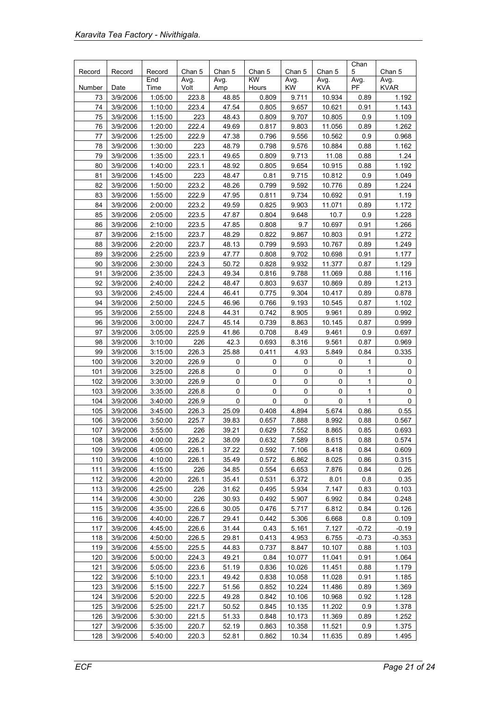|        |          |               |                |                |                     |                |                | Chan      |                |
|--------|----------|---------------|----------------|----------------|---------------------|----------------|----------------|-----------|----------------|
| Record | Record   | Record<br>End | Chan 5<br>Avg. | Chan 5<br>Avg. | Chan 5<br><b>KW</b> | Chan 5<br>Avg. | Chan 5<br>Avg. | 5<br>Avg. | Chan 5<br>Avg. |
| Number | Date     | Time          | Volt           | Amp            | Hours               | <b>KW</b>      | KVA            | PF        | <b>KVAR</b>    |
| 73     | 3/9/2006 | 1:05:00       | 223.8          | 48.85          | 0.809               | 9.711          | 10.934         | 0.89      | 1.192          |
| 74     | 3/9/2006 | 1:10:00       | 223.4          | 47.54          | 0.805               | 9.657          | 10.621         | 0.91      | 1.143          |
| 75     | 3/9/2006 | 1:15:00       | 223            | 48.43          | 0.809               | 9.707          | 10.805         | 0.9       | 1.109          |
| 76     | 3/9/2006 | 1:20:00       | 222.4          | 49.69          | 0.817               | 9.803          | 11.056         | 0.89      | 1.262          |
| 77     | 3/9/2006 | 1:25:00       | 222.9          | 47.38          | 0.796               | 9.556          | 10.562         | 0.9       | 0.968          |
| 78     | 3/9/2006 | 1:30:00       | 223            | 48.79          | 0.798               | 9.576          | 10.884         | 0.88      | 1.162          |
| 79     | 3/9/2006 | 1:35:00       | 223.1          | 49.65          | 0.809               | 9.713          | 11.08          | 0.88      | 1.24           |
| 80     | 3/9/2006 | 1:40:00       | 223.1          | 48.92          | 0.805               | 9.654          | 10.915         | 0.88      | 1.192          |
| 81     | 3/9/2006 | 1:45:00       | 223            | 48.47          | 0.81                | 9.715          | 10.812         | 0.9       | 1.049          |
| 82     | 3/9/2006 | 1:50:00       | 223.2          | 48.26          | 0.799               | 9.592          | 10.776         | 0.89      | 1.224          |
| 83     | 3/9/2006 | 1:55:00       | 222.9          | 47.95          | 0.811               | 9.734          | 10.692         | 0.91      | 1.19           |
| 84     | 3/9/2006 | 2:00:00       | 223.2          | 49.59          | 0.825               | 9.903          | 11.071         | 0.89      | 1.172          |
| 85     | 3/9/2006 | 2:05:00       | 223.5          | 47.87          | 0.804               | 9.648          | 10.7           | 0.9       | 1.228          |
| 86     | 3/9/2006 | 2:10:00       | 223.5          | 47.85          | 0.808               | 9.7            | 10.697         | 0.91      | 1.266          |
| 87     | 3/9/2006 | 2:15:00       | 223.7          | 48.29          | 0.822               | 9.867          | 10.803         | 0.91      | 1.272          |
| 88     | 3/9/2006 | 2:20:00       | 223.7          | 48.13          | 0.799               | 9.593          | 10.767         | 0.89      | 1.249          |
| 89     | 3/9/2006 | 2:25:00       | 223.9          | 47.77          | 0.808               | 9.702          | 10.698         | 0.91      | 1.177          |
| 90     | 3/9/2006 | 2:30:00       | 224.3          | 50.72          | 0.828               | 9.932          | 11.377         | 0.87      | 1.129          |
| 91     | 3/9/2006 | 2:35:00       | 224.3          | 49.34          | 0.816               | 9.788          | 11.069         | 0.88      | 1.116          |
| 92     | 3/9/2006 | 2:40:00       | 224.2          | 48.47          | 0.803               | 9.637          | 10.869         | 0.89      | 1.213          |
| 93     | 3/9/2006 | 2:45:00       | 224.4          | 46.41          | 0.775               | 9.304          | 10.417         | 0.89      | 0.878          |
| 94     | 3/9/2006 | 2:50:00       | 224.5          | 46.96          | 0.766               | 9.193          | 10.545         | 0.87      | 1.102          |
| 95     | 3/9/2006 | 2:55:00       | 224.8          | 44.31          | 0.742               | 8.905          | 9.961          | 0.89      | 0.992          |
| 96     | 3/9/2006 | 3:00:00       | 224.7          | 45.14          | 0.739               | 8.863          | 10.145         | 0.87      | 0.999          |
| 97     | 3/9/2006 | 3:05:00       | 225.9          | 41.86          | 0.708               | 8.49           | 9.461          | 0.9       | 0.697          |
| 98     | 3/9/2006 | 3:10:00       | 226            | 42.3           | 0.693               | 8.316          | 9.561          | 0.87      | 0.969          |
| 99     | 3/9/2006 | 3:15:00       | 226.3          | 25.88          | 0.411               | 4.93           | 5.849          | 0.84      | 0.335          |
| 100    | 3/9/2006 | 3:20:00       | 226.9          | 0              | 0                   | 0              | 0              | 1         | 0              |
| 101    | 3/9/2006 | 3:25:00       | 226.8          | $\pmb{0}$      | 0                   | $\mathbf 0$    | 0              | 1         | 0              |
| 102    | 3/9/2006 | 3:30:00       | 226.9          | 0              | 0                   | 0              | 0              | 1         | 0              |
| 103    | 3/9/2006 | 3:35:00       | 226.8          | 0              | 0                   | 0              | 0              | 1         | 0              |
| 104    | 3/9/2006 | 3:40:00       | 226.9          | 0              | 0                   | 0              | 0              | 1         | 0              |
| 105    | 3/9/2006 | 3:45:00       | 226.3          | 25.09          | 0.408               | 4.894          | 5.674          | 0.86      | 0.55           |
| 106    | 3/9/2006 | 3:50:00       | 225.7          | 39.83          | 0.657               | 7.888          | 8.992          | 0.88      | 0.567          |
| 107    | 3/9/2006 | 3:55:00       | 226            | 39.21          | 0.629               | 7.552          | 8.865          | 0.85      | 0.693          |
| 108    | 3/9/2006 | 4:00:00       | 226.2          | 38.09          | 0.632               | 7.589          | 8.615          | 0.88      | 0.574          |
| 109    | 3/9/2006 | 4:05:00       | 226.1          | 37.22          | 0.592               | 7.106          | 8.418          | 0.84      | 0.609          |
| 110    | 3/9/2006 | 4:10:00       | 226.1          | 35.49          | 0.572               | 6.862          | 8.025          | 0.86      | 0.315          |
| 111    | 3/9/2006 | 4:15:00       | 226            | 34.85          | 0.554               | 6.653          | 7.876          | 0.84      | 0.26           |
| 112    | 3/9/2006 | 4:20:00       | 226.1          | 35.41          | 0.531               | 6.372          | 8.01           | 0.8       | 0.35           |
| 113    | 3/9/2006 | 4:25:00       | 226            | 31.62          | 0.495               | 5.934          | 7.147          | 0.83      | 0.103          |
| 114    | 3/9/2006 | 4:30:00       | 226            | 30.93          | 0.492               | 5.907          | 6.992          | 0.84      | 0.248          |
| 115    | 3/9/2006 | 4:35:00       | 226.6          | 30.05          | 0.476               | 5.717          | 6.812          | 0.84      | 0.126          |
| 116    | 3/9/2006 | 4:40:00       | 226.7          | 29.41          | 0.442               | 5.306          | 6.668          | 0.8       | 0.109          |
| 117    | 3/9/2006 | 4:45:00       | 226.6          | 31.44          | 0.43                | 5.161          | 7.127          | $-0.72$   | $-0.19$        |
| 118    | 3/9/2006 | 4:50:00       | 226.5          | 29.81          | 0.413               | 4.953          | 6.755          | $-0.73$   | $-0.353$       |
| 119    | 3/9/2006 | 4:55:00       | 225.5          | 44.83          | 0.737               | 8.847          | 10.107         | 0.88      | 1.103          |
| 120    | 3/9/2006 | 5:00:00       | 224.3          | 49.21          | 0.84                | 10.077         | 11.041         | 0.91      | 1.064          |
| 121    | 3/9/2006 | 5:05:00       | 223.6          | 51.19          | 0.836               | 10.026         | 11.451         | 0.88      | 1.179          |
| 122    | 3/9/2006 | 5:10:00       | 223.1          | 49.42          | 0.838               | 10.058         | 11.028         | 0.91      | 1.185          |
| 123    | 3/9/2006 | 5:15:00       | 222.7          | 51.56          | 0.852               | 10.224         | 11.486         | 0.89      | 1.369          |
| 124    | 3/9/2006 | 5:20:00       | 222.5          | 49.28          | 0.842               | 10.106         | 10.968         | 0.92      | 1.128          |
| 125    | 3/9/2006 | 5:25:00       | 221.7          | 50.52          | 0.845               | 10.135         | 11.202         | 0.9       | 1.378          |
| 126    | 3/9/2006 | 5:30:00       | 221.5          | 51.33          | 0.848               | 10.173         | 11.369         | 0.89      | 1.252          |
| 127    | 3/9/2006 | 5:35:00       | 220.7          | 52.19          | 0.863               | 10.358         | 11.521         | 0.9       | 1.375          |
| 128    | 3/9/2006 | 5:40:00       | 220.3          | 52.81          | 0.862               | 10.34          | 11.635         | 0.89      | 1.495          |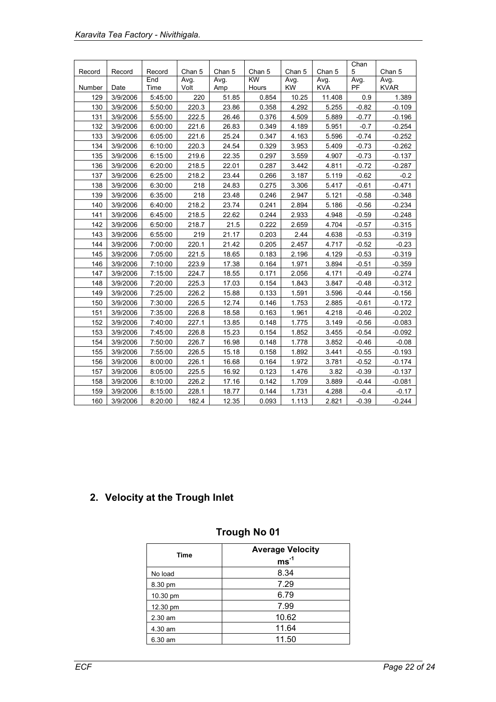|        |          |               |                |                |                     |                |                | Chan      |                |
|--------|----------|---------------|----------------|----------------|---------------------|----------------|----------------|-----------|----------------|
| Record | Record   | Record<br>End | Chan 5<br>Avg. | Chan 5<br>Avg. | Chan 5<br><b>KW</b> | Chan 5<br>Avg. | Chan 5<br>Avg. | 5<br>Avg. | Chan 5<br>Avg. |
| Number | Date     | Time          | Volt           | Amp            | Hours               | KW             | <b>KVA</b>     | <b>PF</b> | <b>KVAR</b>    |
| 129    | 3/9/2006 | 5:45:00       | 220            | 51.85          | 0.854               | 10.25          | 11.408         | 0.9       | 1.389          |
| 130    | 3/9/2006 | 5:50:00       | 220.3          | 23.86          | 0.358               | 4.292          | 5.255          | $-0.82$   | $-0.109$       |
| 131    | 3/9/2006 | 5:55:00       | 222.5          | 26.46          | 0.376               | 4.509          | 5.889          | $-0.77$   | $-0.196$       |
| 132    | 3/9/2006 | 6:00:00       | 221.6          | 26.83          | 0.349               | 4.189          | 5.951          | $-0.7$    | $-0.254$       |
| 133    | 3/9/2006 | 6:05:00       | 221.6          | 25.24          | 0.347               | 4.163          | 5.596          | $-0.74$   | $-0.252$       |
| 134    | 3/9/2006 | 6:10:00       | 220.3          | 24.54          | 0.329               | 3.953          | 5.409          | $-0.73$   | $-0.262$       |
| 135    | 3/9/2006 | 6:15:00       | 219.6          | 22.35          | 0.297               | 3.559          | 4.907          | $-0.73$   | $-0.137$       |
| 136    | 3/9/2006 | 6:20:00       | 218.5          | 22.01          | 0.287               | 3.442          | 4.811          | $-0.72$   | $-0.287$       |
| 137    | 3/9/2006 | 6:25:00       | 218.2          | 23.44          | 0.266               | 3.187          | 5.119          | $-0.62$   | $-0.2$         |
| 138    | 3/9/2006 | 6:30:00       | 218            | 24.83          | 0.275               | 3.306          | 5.417          | $-0.61$   | $-0.471$       |
| 139    | 3/9/2006 | 6:35:00       | 218            | 23.48          | 0.246               | 2.947          | 5.121          | $-0.58$   | $-0.348$       |
| 140    | 3/9/2006 | 6:40:00       | 218.2          | 23.74          | 0.241               | 2.894          | 5.186          | $-0.56$   | $-0.234$       |
| 141    | 3/9/2006 | 6:45:00       | 218.5          | 22.62          | 0.244               | 2.933          | 4.948          | $-0.59$   | $-0.248$       |
| 142    | 3/9/2006 | 6:50:00       | 218.7          | 21.5           | 0.222               | 2.659          | 4.704          | $-0.57$   | $-0.315$       |
| 143    | 3/9/2006 | 6:55:00       | 219            | 21.17          | 0.203               | 2.44           | 4.638          | $-0.53$   | $-0.319$       |
| 144    | 3/9/2006 | 7:00:00       | 220.1          | 21.42          | 0.205               | 2.457          | 4.717          | $-0.52$   | $-0.23$        |
| 145    | 3/9/2006 | 7:05:00       | 221.5          | 18.65          | 0.183               | 2.196          | 4.129          | $-0.53$   | $-0.319$       |
| 146    | 3/9/2006 | 7:10:00       | 223.9          | 17.38          | 0.164               | 1.971          | 3.894          | $-0.51$   | $-0.359$       |
| 147    | 3/9/2006 | 7:15:00       | 224.7          | 18.55          | 0.171               | 2.056          | 4.171          | $-0.49$   | $-0.274$       |
| 148    | 3/9/2006 | 7:20:00       | 225.3          | 17.03          | 0.154               | 1.843          | 3.847          | $-0.48$   | $-0.312$       |
| 149    | 3/9/2006 | 7:25:00       | 226.2          | 15.88          | 0.133               | 1.591          | 3.596          | $-0.44$   | $-0.156$       |
| 150    | 3/9/2006 | 7:30:00       | 226.5          | 12.74          | 0.146               | 1.753          | 2.885          | $-0.61$   | $-0.172$       |
| 151    | 3/9/2006 | 7:35:00       | 226.8          | 18.58          | 0.163               | 1.961          | 4.218          | $-0.46$   | $-0.202$       |
| 152    | 3/9/2006 | 7:40:00       | 227.1          | 13.85          | 0.148               | 1.775          | 3.149          | $-0.56$   | $-0.083$       |
| 153    | 3/9/2006 | 7:45:00       | 226.8          | 15.23          | 0.154               | 1.852          | 3.455          | $-0.54$   | $-0.092$       |
| 154    | 3/9/2006 | 7:50:00       | 226.7          | 16.98          | 0.148               | 1.778          | 3.852          | $-0.46$   | $-0.08$        |
| 155    | 3/9/2006 | 7:55:00       | 226.5          | 15.18          | 0.158               | 1.892          | 3.441          | $-0.55$   | $-0.193$       |
| 156    | 3/9/2006 | 8:00:00       | 226.1          | 16.68          | 0.164               | 1.972          | 3.781          | $-0.52$   | $-0.174$       |
| 157    | 3/9/2006 | 8:05:00       | 225.5          | 16.92          | 0.123               | 1.476          | 3.82           | $-0.39$   | $-0.137$       |
| 158    | 3/9/2006 | 8:10:00       | 226.2          | 17.16          | 0.142               | 1.709          | 3.889          | $-0.44$   | $-0.081$       |
| 159    | 3/9/2006 | 8:15:00       | 228.1          | 18.77          | 0.144               | 1.731          | 4.288          | $-0.4$    | $-0.17$        |
| 160    | 3/9/2006 | 8:20:00       | 182.4          | 12.35          | 0.093               | 1.113          | 2.821          | $-0.39$   | $-0.244$       |

# **2. Velocity at the Trough Inlet**

| Time     | <b>Average Velocity</b><br>$ms^{-1}$ |
|----------|--------------------------------------|
| No load  | 8.34                                 |
| 8.30 pm  | 7.29                                 |
| 10.30 pm | 6.79                                 |
| 12.30 pm | 7.99                                 |
| 2.30 am  | 10.62                                |
| 4.30 am  | 11.64                                |
| 6.30 am  | 11.50                                |

# **Trough No 01**